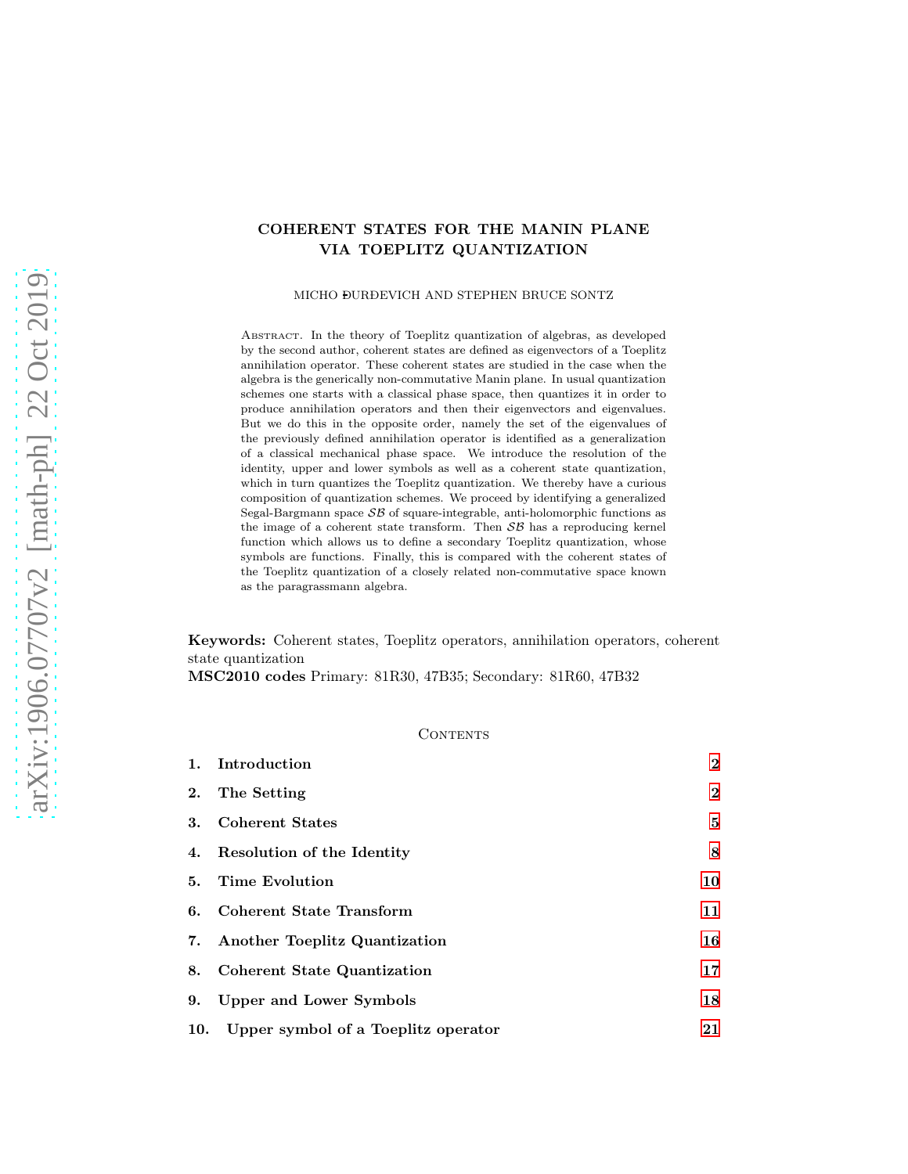# COHERENT STATES FOR THE MANIN PLANE VIA TOEPLITZ QUANTIZATION

MICHO DURÐEVICH AND STEPHEN BRUCE SONTZ

ABSTRACT. In the theory of Toeplitz quantization of algebras, as developed by the second author, coherent states are defined as eigenvectors of a Toeplitz annihilation operator. These coherent states are studied in the case when the algebra is the generically non-commutative Manin plane. In usual quantization schemes one starts with a classical phase space, then quantizes it in order to produce annihilation operators and then their eigenvectors and eigenvalues. But we do this in the opposite order, namely the set of the eigenvalues of the previously defined annihilation operator is identified as a generalization of a classical mechanical phase space. We introduce the resolution of the identity, upper and lower symbols as well as a coherent state quantization, which in turn quantizes the Toeplitz quantization. We thereby have a curious composition of quantization schemes. We proceed by identifying a generalized Segal-Bargmann space  $\mathcal{SB}$  of square-integrable, anti-holomorphic functions as the image of a coherent state transform. Then  $\mathcal{SB}$  has a reproducing kernel function which allows us to define a secondary Toeplitz quantization, whose symbols are functions. Finally, this is compared with the coherent states of the Toeplitz quantization of a closely related non-commutative space known as the paragrassmann algebra.

Keywords: Coherent states, Toeplitz operators, annihilation operators, coherent state quantization

MSC2010 codes Primary: 81R30, 47B35; Secondary: 81R60, 47B32

## CONTENTS

|     | 1. Introduction                     | $\bf{2}$     |
|-----|-------------------------------------|--------------|
| 2.  | The Setting                         | $\mathbf{2}$ |
| 3.  | <b>Coherent States</b>              | 5            |
|     | 4. Resolution of the Identity       | 8            |
| 5.  | <b>Time Evolution</b>               | 10           |
| 6.  | Coherent State Transform            | 11           |
|     | 7. Another Toeplitz Quantization    | 16           |
| 8.  | <b>Coherent State Quantization</b>  | 17           |
| 9.  | Upper and Lower Symbols             | 18           |
| 10. | Upper symbol of a Toeplitz operator | 21           |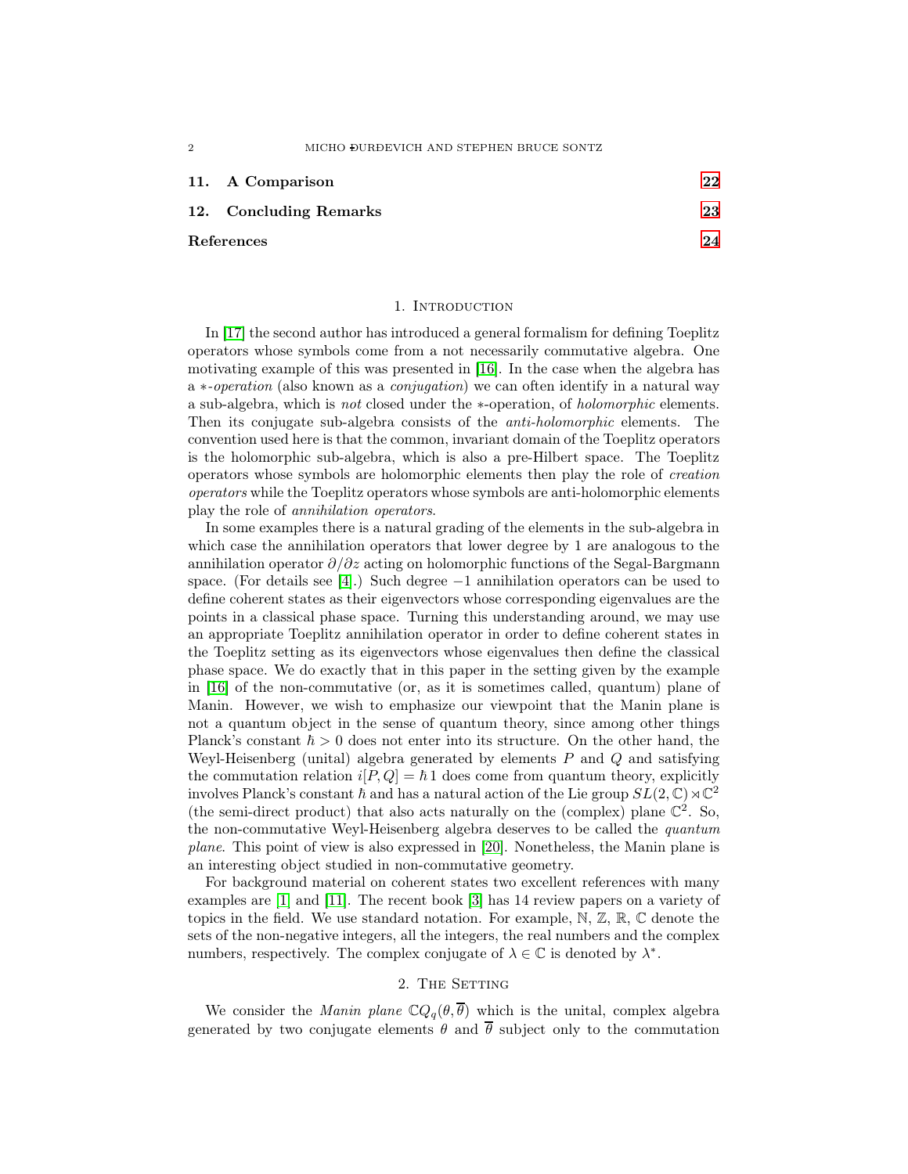|            | 11. A Comparison       | $\overline{2}\overline{2}$ |
|------------|------------------------|----------------------------|
|            | 12. Concluding Remarks | 23                         |
| References |                        | 24                         |

#### 1. INTRODUCTION

<span id="page-1-0"></span>In [\[17\]](#page-23-1) the second author has introduced a general formalism for defining Toeplitz operators whose symbols come from a not necessarily commutative algebra. One motivating example of this was presented in [\[16\]](#page-23-2). In the case when the algebra has a ∗*-operation* (also known as a *conjugation*) we can often identify in a natural way a sub-algebra, which is *not* closed under the ∗-operation, of *holomorphic* elements. Then its conjugate sub-algebra consists of the *anti-holomorphic* elements. The convention used here is that the common, invariant domain of the Toeplitz operators is the holomorphic sub-algebra, which is also a pre-Hilbert space. The Toeplitz operators whose symbols are holomorphic elements then play the role of *creation operators* while the Toeplitz operators whose symbols are anti-holomorphic elements play the role of *annihilation operators*.

In some examples there is a natural grading of the elements in the sub-algebra in which case the annihilation operators that lower degree by 1 are analogous to the annihilation operator  $\partial/\partial z$  acting on holomorphic functions of the Segal-Bargmann space. (For details see [\[4\]](#page-23-3).) Such degree  $-1$  annihilation operators can be used to define coherent states as their eigenvectors whose corresponding eigenvalues are the points in a classical phase space. Turning this understanding around, we may use an appropriate Toeplitz annihilation operator in order to define coherent states in the Toeplitz setting as its eigenvectors whose eigenvalues then define the classical phase space. We do exactly that in this paper in the setting given by the example in [\[16\]](#page-23-2) of the non-commutative (or, as it is sometimes called, quantum) plane of Manin. However, we wish to emphasize our viewpoint that the Manin plane is not a quantum object in the sense of quantum theory, since among other things Planck's constant  $\hbar > 0$  does not enter into its structure. On the other hand, the Weyl-Heisenberg (unital) algebra generated by elements  $P$  and  $Q$  and satisfying the commutation relation  $i[P,Q] = \hbar 1$  does come from quantum theory, explicitly involves Planck's constant  $h$  and has a natural action of the Lie group  $SL(2,\mathbb{C})\rtimes\mathbb{C}^2$ (the semi-direct product) that also acts naturally on the (complex) plane  $\mathbb{C}^2$ . So, the non-commutative Weyl-Heisenberg algebra deserves to be called the *quantum plane*. This point of view is also expressed in [\[20\]](#page-23-4). Nonetheless, the Manin plane is an interesting object studied in non-commutative geometry.

For background material on coherent states two excellent references with many examples are [\[1\]](#page-23-5) and [\[11\]](#page-23-6). The recent book [\[3\]](#page-23-7) has 14 review papers on a variety of topics in the field. We use standard notation. For example,  $\mathbb{N}, \mathbb{Z}, \mathbb{R}, \mathbb{C}$  denote the sets of the non-negative integers, all the integers, the real numbers and the complex numbers, respectively. The complex conjugate of  $\lambda \in \mathbb{C}$  is denoted by  $\lambda^*$ .

## 2. THE SETTING

<span id="page-1-1"></span>We consider the *Manin plane*  $\mathbb{C}Q_q(\theta, \overline{\theta})$  which is the unital, complex algebra generated by two conjugate elements  $\theta$  and  $\overline{\theta}$  subject only to the commutation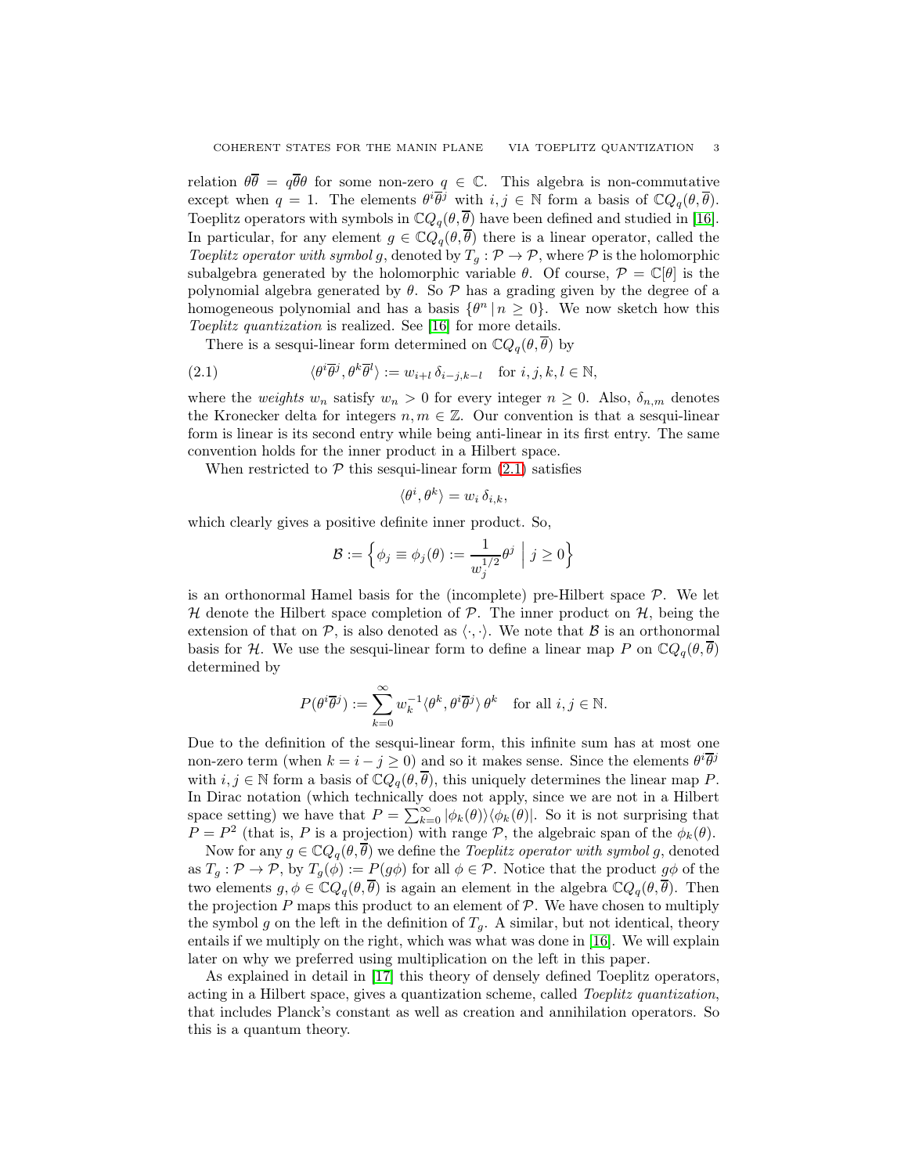relation  $\theta \overline{\theta} = q \overline{\theta} \theta$  for some non-zero  $q \in \mathbb{C}$ . This algebra is non-commutative except when  $q = 1$ . The elements  $\theta^i \overline{\theta}^j$  with  $i, j \in \mathbb{N}$  form a basis of  $\mathbb{C}Q_q(\theta, \overline{\theta})$ . Toeplitz operators with symbols in  $\mathbb{C}Q_q(\theta, \overline{\theta})$  have been defined and studied in [\[16\]](#page-23-2). In particular, for any element  $g \in \mathbb{C}Q_{q}(\theta, \overline{\theta})$  there is a linear operator, called the *Toeplitz operator with symbol* g, denoted by  $T_q$ :  $\mathcal{P} \to \mathcal{P}$ , where  $\mathcal{P}$  is the holomorphic subalgebra generated by the holomorphic variable  $\theta$ . Of course,  $\mathcal{P} = \mathbb{C}[\theta]$  is the polynomial algebra generated by  $\theta$ . So  $\mathcal{P}$  has a grading given by the degree of a homogeneous polynomial and has a basis  $\{\theta^n | n \geq 0\}$ . We now sketch how this *Toeplitz quantization* is realized. See [\[16\]](#page-23-2) for more details.

<span id="page-2-0"></span>There is a sesqui-linear form determined on  $\mathbb{C}Q_q(\theta, \overline{\theta})$  by

(2.1) 
$$
\langle \theta^i \overline{\theta}^j, \theta^k \overline{\theta}^l \rangle := w_{i+l} \, \delta_{i-j,k-l} \quad \text{for } i, j, k, l \in \mathbb{N},
$$

where the *weights*  $w_n$  satisfy  $w_n > 0$  for every integer  $n \geq 0$ . Also,  $\delta_{n,m}$  denotes the Kronecker delta for integers  $n, m \in \mathbb{Z}$ . Our convention is that a sesqui-linear form is linear is its second entry while being anti-linear in its first entry. The same convention holds for the inner product in a Hilbert space.

When restricted to  $P$  this sesqui-linear form  $(2.1)$  satisfies

$$
\langle \theta^i, \theta^k \rangle = w_i \, \delta_{i,k},
$$

which clearly gives a positive definite inner product. So,

$$
\mathcal{B}:=\Big\{\phi_j\equiv\phi_j(\theta):=\frac{1}{w_j^{1/2}}\theta^j\ \Big|\ j\geq 0\Big\}
$$

is an orthonormal Hamel basis for the (incomplete) pre-Hilbert space  $P$ . We let H denote the Hilbert space completion of P. The inner product on  $H$ , being the extension of that on P, is also denoted as  $\langle \cdot, \cdot \rangle$ . We note that B is an orthonormal basis for H. We use the sesqui-linear form to define a linear map P on  $\mathbb{C}Q_q(\theta, \theta)$ determined by

$$
P(\theta^i \overline{\theta}^j) := \sum_{k=0}^{\infty} w_k^{-1} \langle \theta^k, \theta^i \overline{\theta}^j \rangle \theta^k \text{ for all } i, j \in \mathbb{N}.
$$

Due to the definition of the sesqui-linear form, this infinite sum has at most one non-zero term (when  $k = i - j \ge 0$ ) and so it makes sense. Since the elements  $\theta^i \overline{\theta^j}$ with  $i, j \in \mathbb{N}$  form a basis of  $\mathbb{C}Q_q(\theta, \overline{\theta})$ , this uniquely determines the linear map P. In Dirac notation (which technically does not apply, since we are not in a Hilbert space setting) we have that  $P = \sum_{k=0}^{\infty} |\phi_k(\theta)\rangle \langle \phi_k(\theta)|$ . So it is not surprising that  $P = P<sup>2</sup>$  (that is, P is a projection) with range P, the algebraic span of the  $\phi_k(\theta)$ .

Now for any  $g \in \mathbb{C}Q_a(\theta, \overline{\theta})$  we define the *Toeplitz operator with symbol* g, denoted as  $T_g: \mathcal{P} \to \mathcal{P}$ , by  $T_g(\phi) := P(g\phi)$  for all  $\phi \in \mathcal{P}$ . Notice that the product  $g\phi$  of the two elements  $g, \phi \in \mathbb{C}Q_q(\theta, \overline{\theta})$  is again an element in the algebra  $\mathbb{C}Q_q(\theta, \overline{\theta})$ . Then the projection  $P$  maps this product to an element of  $P$ . We have chosen to multiply the symbol g on the left in the definition of  $T<sub>g</sub>$ . A similar, but not identical, theory entails if we multiply on the right, which was what was done in [\[16\]](#page-23-2). We will explain later on why we preferred using multiplication on the left in this paper.

As explained in detail in [\[17\]](#page-23-1) this theory of densely defined Toeplitz operators, acting in a Hilbert space, gives a quantization scheme, called *Toeplitz quantization*, that includes Planck's constant as well as creation and annihilation operators. So this is a quantum theory.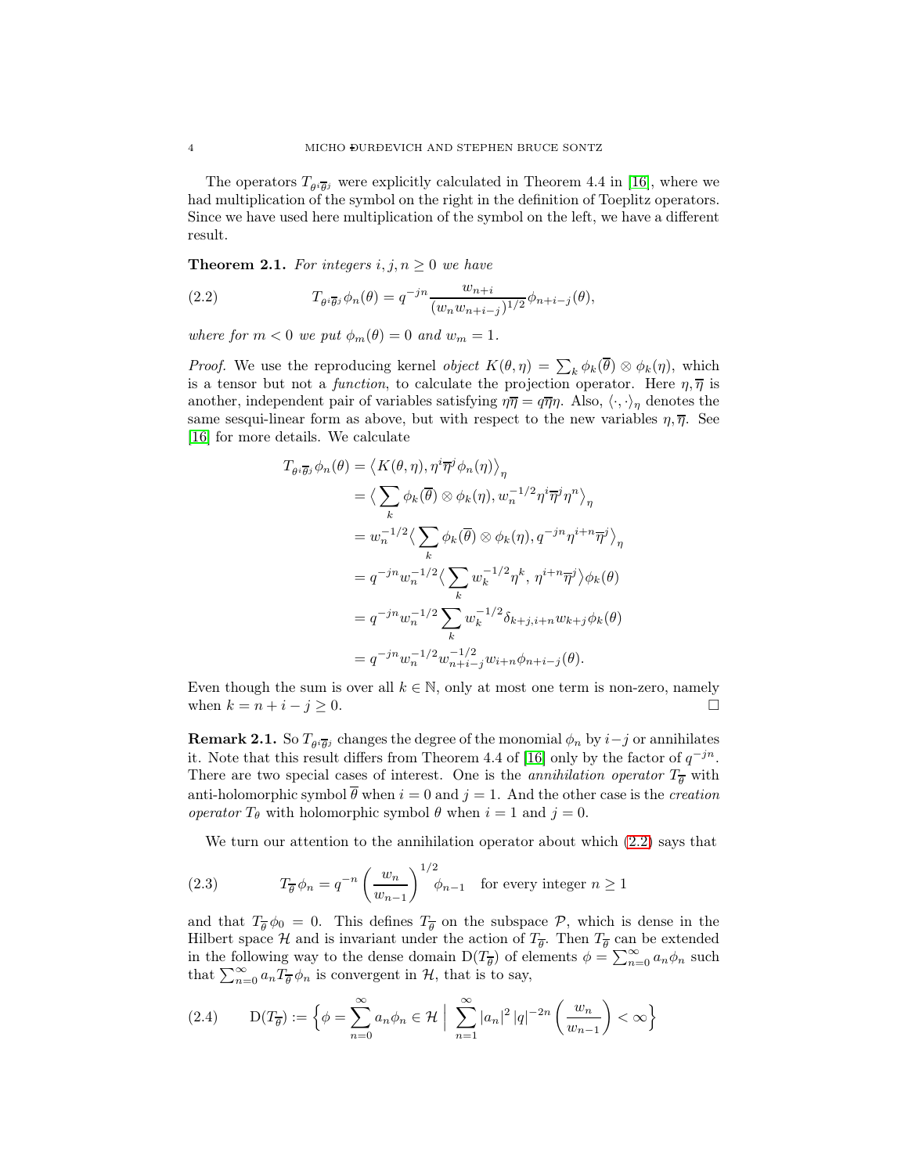The operators  $T_{\theta i \overline{\theta} j}$  were explicitly calculated in Theorem 4.4 in [\[16\]](#page-23-2), where we had multiplication of the symbol on the right in the definition of Toeplitz operators. Since we have used here multiplication of the symbol on the left, we have a different result.

**Theorem 2.1.** For integers  $i, j, n \geq 0$  we have

<span id="page-3-0"></span>(2.2) 
$$
T_{\theta i\overline{\theta} j}\phi_n(\theta) = q^{-jn}\frac{w_{n+i}}{(w_n w_{n+i-j})^{1/2}}\phi_{n+i-j}(\theta),
$$

*where for*  $m < 0$  *we put*  $\phi_m(\theta) = 0$  *and*  $w_m = 1$ *.* 

*Proof.* We use the reproducing kernel *object*  $K(\theta, \eta) = \sum_{k} \phi_k(\theta) \otimes \phi_k(\eta)$ , which is a tensor but not a *function*, to calculate the projection operator. Here  $\eta, \overline{\eta}$  is another, independent pair of variables satisfying  $\eta \overline{\eta} = q \overline{\eta} \eta$ . Also,  $\langle \cdot, \cdot \rangle_{\eta}$  denotes the same sesqui-linear form as above, but with respect to the new variables  $\eta$ ,  $\overline{\eta}$ . See [\[16\]](#page-23-2) for more details. We calculate

$$
T_{\theta i \overline{\theta} j} \phi_n(\theta) = \langle K(\theta, \eta), \eta^i \overline{\eta}^j \phi_n(\eta) \rangle_{\eta}
$$
  
\n
$$
= \langle \sum_k \phi_k(\overline{\theta}) \otimes \phi_k(\eta), w_n^{-1/2} \eta^i \overline{\eta}^j \eta^n \rangle_{\eta}
$$
  
\n
$$
= w_n^{-1/2} \langle \sum_k \phi_k(\overline{\theta}) \otimes \phi_k(\eta), q^{-jn} \eta^{i+n} \overline{\eta}^j \rangle_{\eta}
$$
  
\n
$$
= q^{-jn} w_n^{-1/2} \langle \sum_k w_k^{-1/2} \eta^k, \eta^{i+n} \overline{\eta}^j \rangle \phi_k(\theta)
$$
  
\n
$$
= q^{-jn} w_n^{-1/2} \sum_k w_k^{-1/2} \delta_{k+j, i+n} w_{k+j} \phi_k(\theta)
$$
  
\n
$$
= q^{-jn} w_n^{-1/2} w_{n+i-j}^{-1/2} w_{i+n} \phi_{n+i-j}(\theta).
$$

Even though the sum is over all  $k \in \mathbb{N}$ , only at most one term is non-zero, namely when  $k = n + i - j \geq 0$ .

**Remark 2.1.** So  $T_{\theta^i \overline{\theta}{}^j}$  changes the degree of the monomial  $\phi_n$  by  $i-j$  or annihilates it. Note that this result differs from Theorem 4.4 of [\[16\]](#page-23-2) only by the factor of  $q^{-jn}$ . There are two special cases of interest. One is the *annihilation operator*  $T_{\overline{\theta}}$  with anti-holomorphic symbol  $\overline{\theta}$  when  $i = 0$  and  $j = 1$ . And the other case is the *creation operator*  $T_{\theta}$  with holomorphic symbol  $\theta$  when  $i = 1$  and  $j = 0$ .

<span id="page-3-2"></span>We turn our attention to the annihilation operator about which [\(2.2\)](#page-3-0) says that

(2.3) 
$$
T_{\overline{\theta}} \phi_n = q^{-n} \left( \frac{w_n}{w_{n-1}} \right)^{1/2} \phi_{n-1} \text{ for every integer } n \ge 1
$$

and that  $T_{\overline{\theta}}\phi_0 = 0$ . This defines  $T_{\overline{\theta}}$  on the subspace  $P$ , which is dense in the Hilbert space H and is invariant under the action of  $T_{\overline{\theta}}$ . Then  $T_{\overline{\theta}}$  can be extended in the following way to the dense domain  $D(T_{\overline{\theta}})$  of elements  $\phi = \sum_{n=0}^{\infty} a_n \phi_n$  such that  $\sum_{n=0}^{\infty} a_n \overline{T_{\theta}} \phi_n$  is convergent in  $\mathcal{H}$ , that is to say,

<span id="page-3-1"></span>
$$
(2.4) \qquad \mathcal{D}(T_{\overline{\theta}}) := \left\{ \phi = \sum_{n=0}^{\infty} a_n \phi_n \in \mathcal{H} \; \Big| \; \sum_{n=1}^{\infty} |a_n|^2 \, |q|^{-2n} \left( \frac{w_n}{w_{n-1}} \right) < \infty \right\}
$$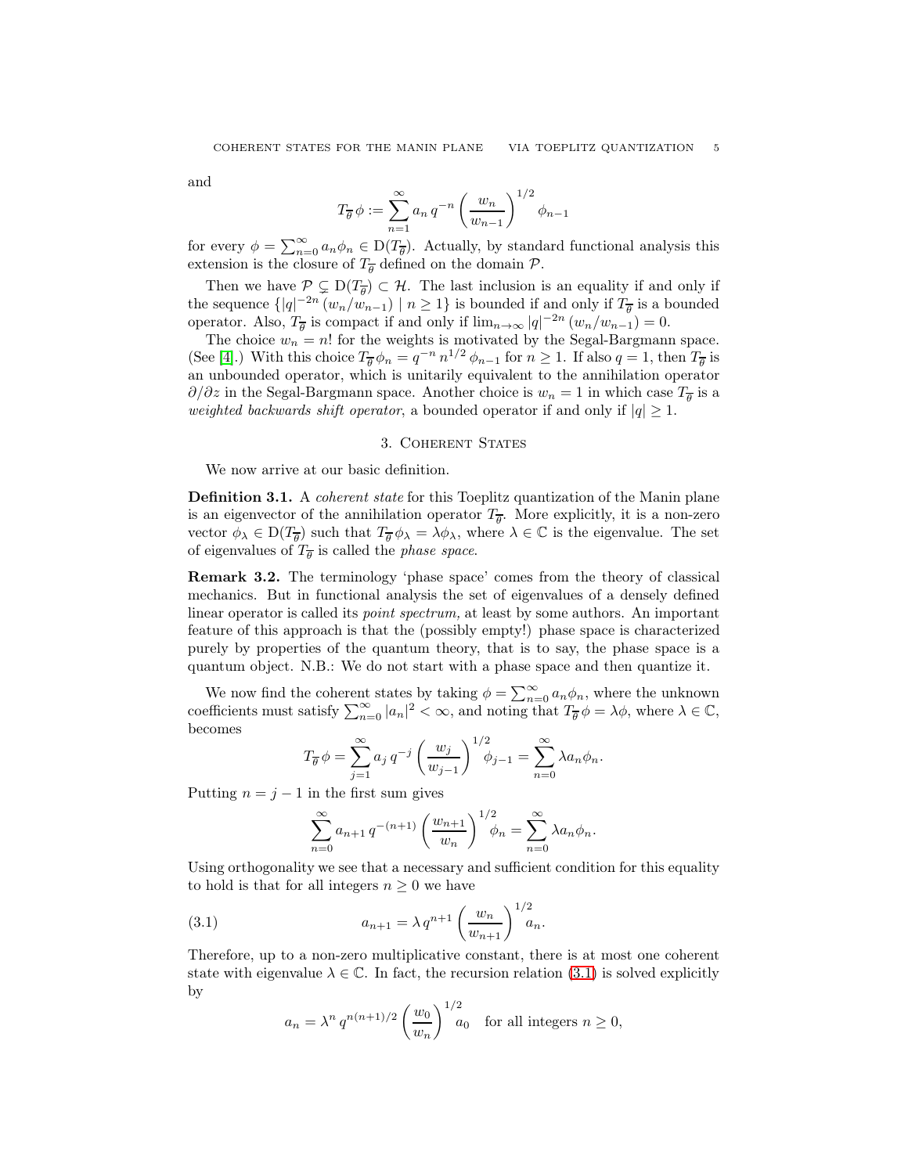and

$$
T_{\overline{\theta}} \phi := \sum_{n=1}^{\infty} a_n q^{-n} \left( \frac{w_n}{w_{n-1}} \right)^{1/2} \phi_{n-1}
$$

for every  $\phi = \sum_{n=0}^{\infty} a_n \phi_n \in D(T_{\overline{\theta}})$ . Actually, by standard functional analysis this extension is the closure of  $T_{\overline{\theta}}$  defined on the domain  $P$ .

Then we have  $P \subsetneq D(T_{\overline{\theta}}) \subset \mathcal{H}$ . The last inclusion is an equality if and only if the sequence  $\{|q|^{-2n} (w_n/w_{n-1}) \mid n \geq 1\}$  is bounded if and only if  $T_{\overline{\theta}}$  is a bounded operator. Also,  $T_{\overline{\theta}}$  is compact if and only if  $\lim_{n\to\infty} |q|^{-2n} (w_n/w_{n-1}) = 0$ .

The choice  $w_n = n!$  for the weights is motivated by the Segal-Bargmann space. (See [\[4\]](#page-23-3).) With this choice  $T_{\overline{\theta}} \phi_n = q^{-n} n^{1/2} \phi_{n-1}$  for  $n \ge 1$ . If also  $q = 1$ , then  $T_{\overline{\theta}}$  is an unbounded operator, which is unitarily equivalent to the annihilation operator  $\partial/\partial z$  in the Segal-Bargmann space. Another choice is  $w_n = 1$  in which case  $T_{\overline{\theta}}$  is a *weighted backwards shift operator*, a bounded operator if and only if  $|q| \geq 1$ .

### 3. Coherent States

<span id="page-4-0"></span>We now arrive at our basic definition.

Definition 3.1. A *coherent state* for this Toeplitz quantization of the Manin plane is an eigenvector of the annihilation operator  $T_{\overline{\theta}}$ . More explicitly, it is a non-zero vector  $\phi_{\lambda} \in D(T_{\overline{\theta}})$  such that  $T_{\overline{\theta}} \phi_{\lambda} = \lambda \phi_{\lambda}$ , where  $\lambda \in \mathbb{C}$  is the eigenvalue. The set of eigenvalues of  $T_{\overline{\theta}}$  is called the *phase space*.

Remark 3.2. The terminology 'phase space' comes from the theory of classical mechanics. But in functional analysis the set of eigenvalues of a densely defined linear operator is called its *point spectrum,* at least by some authors. An important feature of this approach is that the (possibly empty!) phase space is characterized purely by properties of the quantum theory, that is to say, the phase space is a quantum object. N.B.: We do not start with a phase space and then quantize it.

We now find the coherent states by taking  $\phi = \sum_{n=0}^{\infty} a_n \phi_n$ , where the unknown coefficients must satisfy  $\sum_{n=0}^{\infty} |a_n|^2 < \infty$ , and noting that  $T_{\overline{\theta}} \phi = \lambda \phi$ , where  $\lambda \in \mathbb{C}$ , becomes

$$
T_{\overline{\theta}} \phi = \sum_{j=1}^{\infty} a_j q^{-j} \left( \frac{w_j}{w_{j-1}} \right)^{1/2} \phi_{j-1} = \sum_{n=0}^{\infty} \lambda a_n \phi_n.
$$

Putting  $n = j - 1$  in the first sum gives

$$
\sum_{n=0}^{\infty} a_{n+1} q^{-(n+1)} \left(\frac{w_{n+1}}{w_n}\right)^{1/2} \phi_n = \sum_{n=0}^{\infty} \lambda a_n \phi_n.
$$

Using orthogonality we see that a necessary and sufficient condition for this equality to hold is that for all integers  $n \geq 0$  we have

(3.1) 
$$
a_{n+1} = \lambda q^{n+1} \left(\frac{w_n}{w_{n+1}}\right)^{1/2} a_n.
$$

Therefore, up to a non-zero multiplicative constant, there is at most one coherent state with eigenvalue  $\lambda \in \mathbb{C}$ . In fact, the recursion relation [\(3.1\)](#page-4-1) is solved explicitly by

<span id="page-4-1"></span>
$$
a_n = \lambda^n q^{n(n+1)/2} \left(\frac{w_0}{w_n}\right)^{1/2} a_0 \quad \text{for all integers } n \ge 0,
$$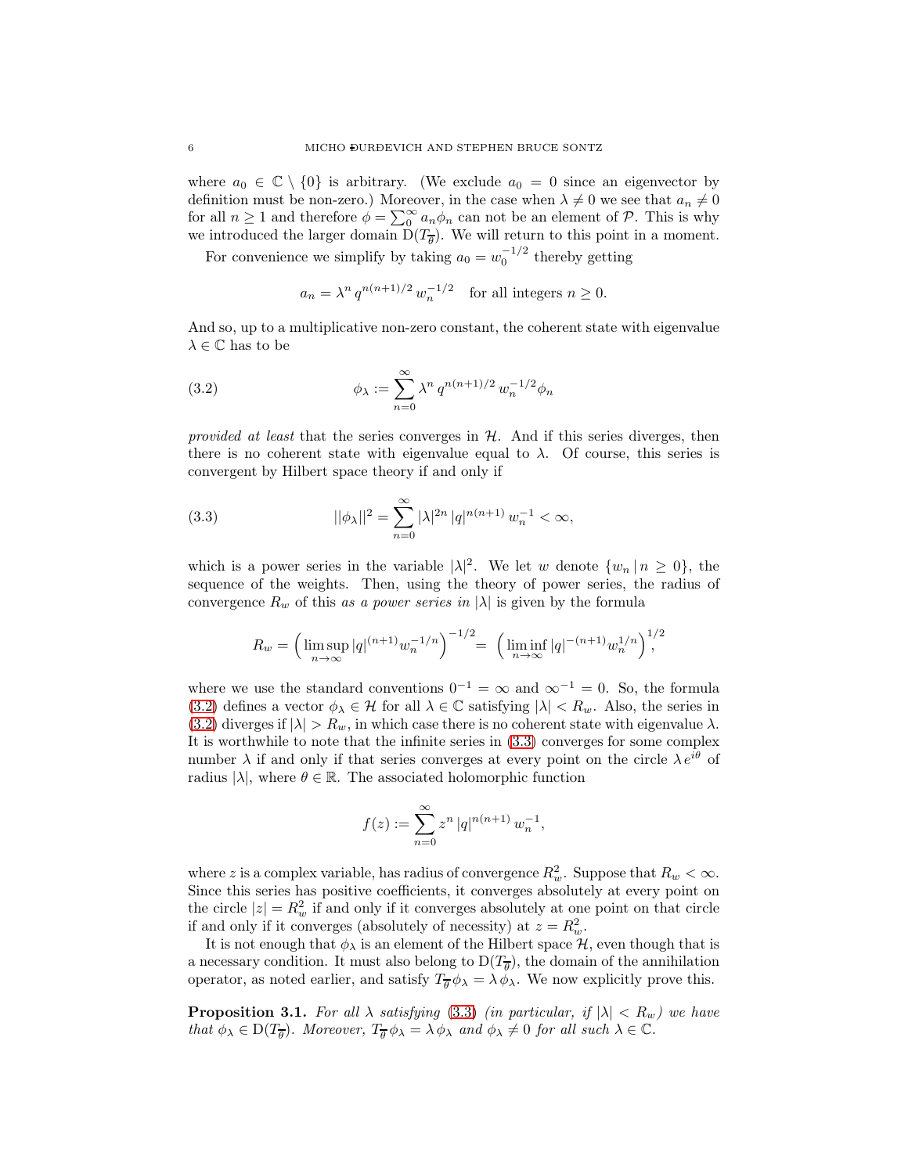where  $a_0 \in \mathbb{C} \setminus \{0\}$  is arbitrary. (We exclude  $a_0 = 0$  since an eigenvector by definition must be non-zero.) Moreover, in the case when  $\lambda \neq 0$  we see that  $a_n \neq 0$ for all  $n \geq 1$  and therefore  $\phi = \sum_{n=0}^{\infty} a_n \phi_n$  can not be an element of  $P$ . This is why we introduced the larger domain  $D(T_{\overline{\theta}})$ . We will return to this point in a moment.

For convenience we simplify by taking  $a_0 = w_0^{-1/2}$  thereby getting

<span id="page-5-0"></span>
$$
a_n = \lambda^n q^{n(n+1)/2} w_n^{-1/2}
$$
 for all integers  $n \ge 0$ .

And so, up to a multiplicative non-zero constant, the coherent state with eigenvalue  $\lambda \in \mathbb{C}$  has to be

(3.2) 
$$
\phi_{\lambda} := \sum_{n=0}^{\infty} \lambda^n q^{n(n+1)/2} w_n^{-1/2} \phi_n
$$

*provided at least* that the series converges in H. And if this series diverges, then there is no coherent state with eigenvalue equal to  $\lambda$ . Of course, this series is convergent by Hilbert space theory if and only if

(3.3) 
$$
||\phi_{\lambda}||^{2} = \sum_{n=0}^{\infty} |\lambda|^{2n} |q|^{n(n+1)} w_{n}^{-1} < \infty,
$$

which is a power series in the variable  $|\lambda|^2$ . We let w denote  $\{w_n | n \geq 0\}$ , the sequence of the weights. Then, using the theory of power series, the radius of convergence  $R_w$  of this *as a power series in*  $|\lambda|$  is given by the formula

<span id="page-5-1"></span>
$$
R_w = \left(\limsup_{n \to \infty} |q|^{(n+1)} w_n^{-1/n}\right)^{-1/2} = \left(\liminf_{n \to \infty} |q|^{-(n+1)} w_n^{1/n}\right)^{1/2}
$$

where we use the standard conventions  $0^{-1} = \infty$  and  $\infty^{-1} = 0$ . So, the formula [\(3.2\)](#page-5-0) defines a vector  $\phi_{\lambda} \in \mathcal{H}$  for all  $\lambda \in \mathbb{C}$  satisfying  $|\lambda| < R_w$ . Also, the series in [\(3.2\)](#page-5-0) diverges if  $|\lambda| > R_w$ , in which case there is no coherent state with eigenvalue  $\lambda$ . It is worthwhile to note that the infinite series in [\(3.3\)](#page-5-1) converges for some complex number  $\lambda$  if and only if that series converges at every point on the circle  $\lambda e^{i\theta}$  of radius  $|\lambda|$ , where  $\theta \in \mathbb{R}$ . The associated holomorphic function

$$
f(z) := \sum_{n=0}^{\infty} z^n |q|^{n(n+1)} w_n^{-1},
$$

where z is a complex variable, has radius of convergence  $R_w^2$ . Suppose that  $R_w < \infty$ . Since this series has positive coefficients, it converges absolutely at every point on the circle  $|z| = R_w^2$  if and only if it converges absolutely at one point on that circle if and only if it converges (absolutely of necessity) at  $z = R_w^2$ .

It is not enough that  $\phi_{\lambda}$  is an element of the Hilbert space  $\mathcal{H}$ , even though that is a necessary condition. It must also belong to  $D(T_{\overline{\theta}})$ , the domain of the annihilation operator, as noted earlier, and satisfy  $T_{\overline{\theta}} \phi_{\lambda} = \lambda \phi_{\lambda}$ . We now explicitly prove this.

**Proposition 3.1.** For all  $\lambda$  satisfying [\(3.3\)](#page-5-1) *(in particular, if*  $|\lambda| < R_w$ *) we have that*  $\phi_{\lambda} \in D(T_{\overline{\theta}})$ *. Moreover,*  $T_{\overline{\theta}} \phi_{\lambda} = \lambda \phi_{\lambda}$  *and*  $\phi_{\lambda} \neq 0$  *for all such*  $\lambda \in \mathbb{C}$ *.*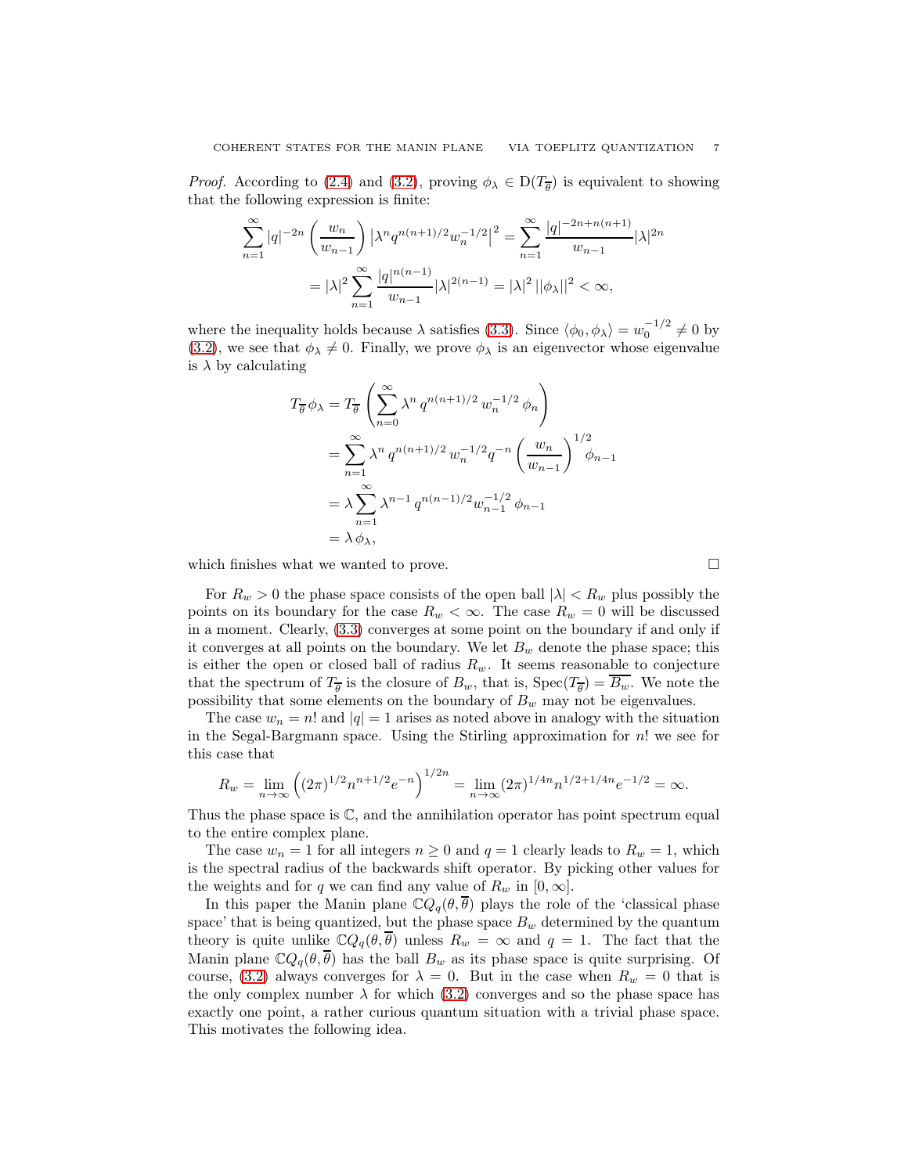*Proof.* According to [\(2.4\)](#page-3-1) and [\(3.2\)](#page-5-0), proving  $\phi_{\lambda} \in D(T_{\overline{\theta}})$  is equivalent to showing that the following expression is finite:

$$
\sum_{n=1}^{\infty} |q|^{-2n} \left(\frac{w_n}{w_{n-1}}\right) \left|\lambda^n q^{n(n+1)/2} w_n^{-1/2}\right|^2 = \sum_{n=1}^{\infty} \frac{|q|^{-2n+n(n+1)}}{w_{n-1}} |\lambda|^{2n}
$$

$$
= |\lambda|^2 \sum_{n=1}^{\infty} \frac{|q|^{n(n-1)}}{w_{n-1}} |\lambda|^{2(n-1)} = |\lambda|^2 ||\phi_{\lambda}||^2 < \infty,
$$

where the inequality holds because  $\lambda$  satisfies [\(3.3\)](#page-5-1). Since  $\langle \phi_0, \phi_\lambda \rangle = w_0^{-1/2} \neq 0$  by [\(3.2\)](#page-5-0), we see that  $\phi_{\lambda} \neq 0$ . Finally, we prove  $\phi_{\lambda}$  is an eigenvector whose eigenvalue is  $\lambda$  by calculating

$$
T_{\overline{\theta}} \phi_{\lambda} = T_{\overline{\theta}} \left( \sum_{n=0}^{\infty} \lambda^n q^{n(n+1)/2} w_n^{-1/2} \phi_n \right)
$$
  
= 
$$
\sum_{n=1}^{\infty} \lambda^n q^{n(n+1)/2} w_n^{-1/2} q^{-n} \left( \frac{w_n}{w_{n-1}} \right)^{1/2} \phi_{n-1}
$$
  
= 
$$
\lambda \sum_{n=1}^{\infty} \lambda^{n-1} q^{n(n-1)/2} w_{n-1}^{-1/2} \phi_{n-1}
$$
  
= 
$$
\lambda \phi_{\lambda},
$$

which finishes what we wanted to prove.  $\Box$ 

For  $R_w > 0$  the phase space consists of the open ball  $|\lambda| < R_w$  plus possibly the points on its boundary for the case  $R_w < \infty$ . The case  $R_w = 0$  will be discussed in a moment. Clearly, [\(3.3\)](#page-5-1) converges at some point on the boundary if and only if it converges at all points on the boundary. We let  $B_w$  denote the phase space; this is either the open or closed ball of radius  $R_w$ . It seems reasonable to conjecture that the spectrum of  $T_{\overline{\theta}}$  is the closure of  $B_w$ , that is,  $\text{Spec}(T_{\overline{\theta}}) = B_w$ . We note the possibility that some elements on the boundary of  $B_w$  may not be eigenvalues.

The case  $w_n = n!$  and  $|q| = 1$  arises as noted above in analogy with the situation in the Segal-Bargmann space. Using the Stirling approximation for n! we see for this case that

$$
R_w = \lim_{n \to \infty} \left( (2\pi)^{1/2} n^{n+1/2} e^{-n} \right)^{1/2n} = \lim_{n \to \infty} (2\pi)^{1/4n} n^{1/2 + 1/4n} e^{-1/2} = \infty.
$$

Thus the phase space is  $\mathbb{C}$ , and the annihilation operator has point spectrum equal to the entire complex plane.

The case  $w_n = 1$  for all integers  $n \geq 0$  and  $q = 1$  clearly leads to  $R_w = 1$ , which is the spectral radius of the backwards shift operator. By picking other values for the weights and for q we can find any value of  $R_w$  in  $[0, \infty]$ .

In this paper the Manin plane  $\mathbb{C}Q_q(\theta, \overline{\theta})$  plays the role of the 'classical phase space' that is being quantized, but the phase space  $B_w$  determined by the quantum theory is quite unlike  $\mathbb{C}Q_q(\theta, \overline{\theta})$  unless  $R_w = \infty$  and  $q = 1$ . The fact that the Manin plane  $\mathbb{C}Q_q(\theta, \theta)$  has the ball  $B_w$  as its phase space is quite surprising. Of course, [\(3.2\)](#page-5-0) always converges for  $\lambda = 0$ . But in the case when  $R_w = 0$  that is the only complex number  $\lambda$  for which [\(3.2\)](#page-5-0) converges and so the phase space has exactly one point, a rather curious quantum situation with a trivial phase space. This motivates the following idea.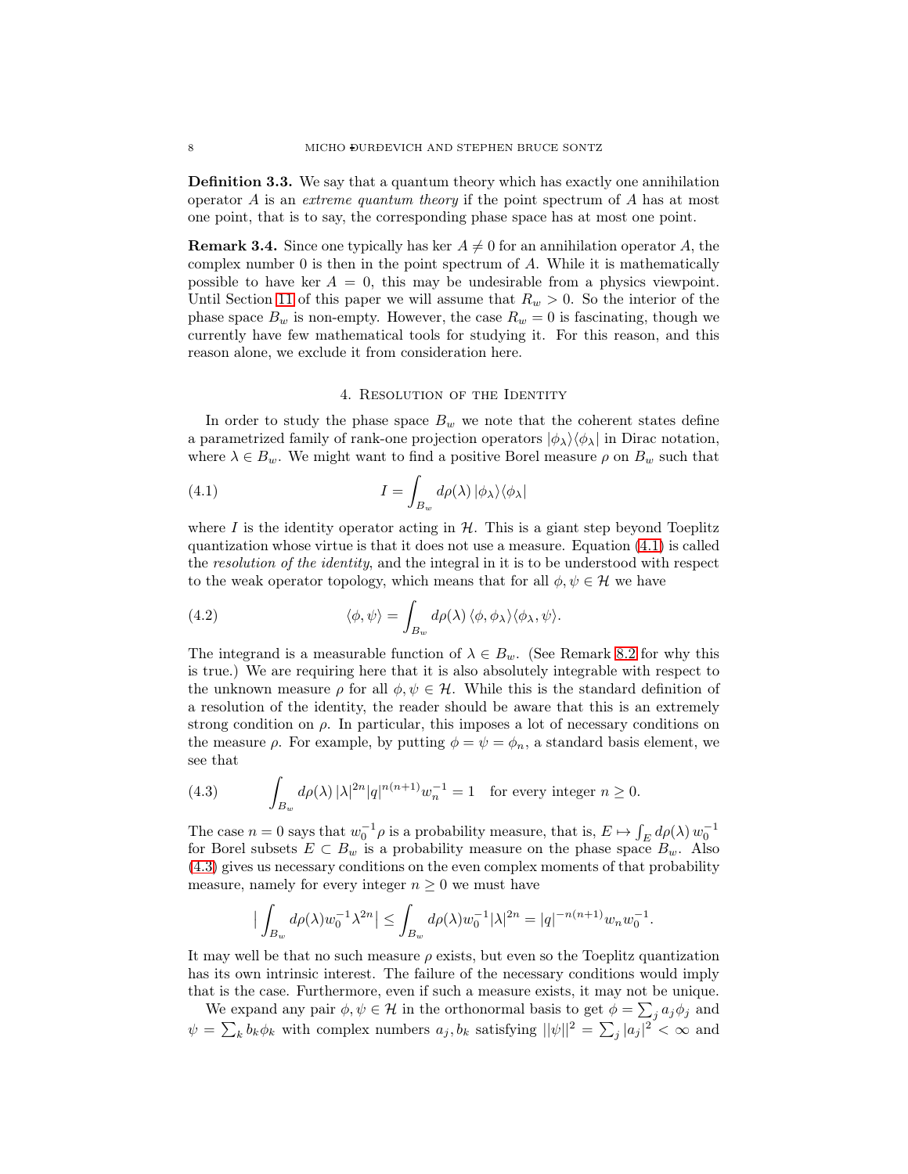<span id="page-7-4"></span>Definition 3.3. We say that a quantum theory which has exactly one annihilation operator A is an *extreme quantum theory* if the point spectrum of A has at most one point, that is to say, the corresponding phase space has at most one point.

**Remark 3.4.** Since one typically has ker  $A \neq 0$  for an annihilation operator A, the complex number 0 is then in the point spectrum of A. While it is mathematically possible to have ker  $A = 0$ , this may be undesirable from a physics viewpoint. Until Section [11](#page-21-0) of this paper we will assume that  $R_w > 0$ . So the interior of the phase space  $B_w$  is non-empty. However, the case  $R_w = 0$  is fascinating, though we currently have few mathematical tools for studying it. For this reason, and this reason alone, we exclude it from consideration here.

### <span id="page-7-1"></span>4. RESOLUTION OF THE IDENTITY

<span id="page-7-0"></span>In order to study the phase space  $B_w$  we note that the coherent states define a parametrized family of rank-one projection operators  $|\phi_{\lambda}\rangle\langle\phi_{\lambda}|$  in Dirac notation, where  $\lambda \in B_w$ . We might want to find a positive Borel measure  $\rho$  on  $B_w$  such that

(4.1) 
$$
I = \int_{B_w} d\rho(\lambda) \, |\phi_\lambda\rangle \langle \phi_\lambda|
$$

where I is the identity operator acting in  $H$ . This is a giant step beyond Toeplitz quantization whose virtue is that it does not use a measure. Equation [\(4.1\)](#page-7-1) is called the *resolution of the identity*, and the integral in it is to be understood with respect to the weak operator topology, which means that for all  $\phi, \psi \in \mathcal{H}$  we have

<span id="page-7-3"></span>(4.2) 
$$
\langle \phi, \psi \rangle = \int_{B_w} d\rho(\lambda) \, \langle \phi, \phi_\lambda \rangle \langle \phi_\lambda, \psi \rangle.
$$

The integrand is a measurable function of  $\lambda \in B_w$ . (See Remark [8.2](#page-16-1) for why this is true.) We are requiring here that it is also absolutely integrable with respect to the unknown measure  $\rho$  for all  $\phi, \psi \in \mathcal{H}$ . While this is the standard definition of a resolution of the identity, the reader should be aware that this is an extremely strong condition on  $\rho$ . In particular, this imposes a lot of necessary conditions on the measure  $\rho$ . For example, by putting  $\phi = \psi = \phi_n$ , a standard basis element, we see that

<span id="page-7-2"></span>(4.3) 
$$
\int_{B_w} d\rho(\lambda) |\lambda|^{2n} |q|^{n(n+1)} w_n^{-1} = 1 \text{ for every integer } n \ge 0.
$$

The case  $n = 0$  says that  $w_0^{-1} \rho$  is a probability measure, that is,  $E \mapsto \int_E d\rho(\lambda) w_0^{-1}$ for Borel subsets  $E \subset B_w$  is a probability measure on the phase space  $B_w$ . Also [\(4.3\)](#page-7-2) gives us necessary conditions on the even complex moments of that probability measure, namely for every integer  $n \geq 0$  we must have

$$
\big|\int_{B_w} d\rho(\lambda) w_0^{-1}\lambda^{2n}\big| \leq \int_{B_w} d\rho(\lambda) w_0^{-1} |\lambda|^{2n} = |q|^{-n(n+1)} w_n w_0^{-1}.
$$

It may well be that no such measure  $\rho$  exists, but even so the Toeplitz quantization has its own intrinsic interest. The failure of the necessary conditions would imply that is the case. Furthermore, even if such a measure exists, it may not be unique.

We expand any pair  $\phi, \psi \in \mathcal{H}$  in the orthonormal basis to get  $\phi = \sum_j a_j \phi_j$  and  $\psi = \sum_{k} b_k \phi_k$  with complex numbers  $a_j, b_k$  satisfying  $||\psi||^2 = \sum_{j} |a_j|^2 < \infty$  and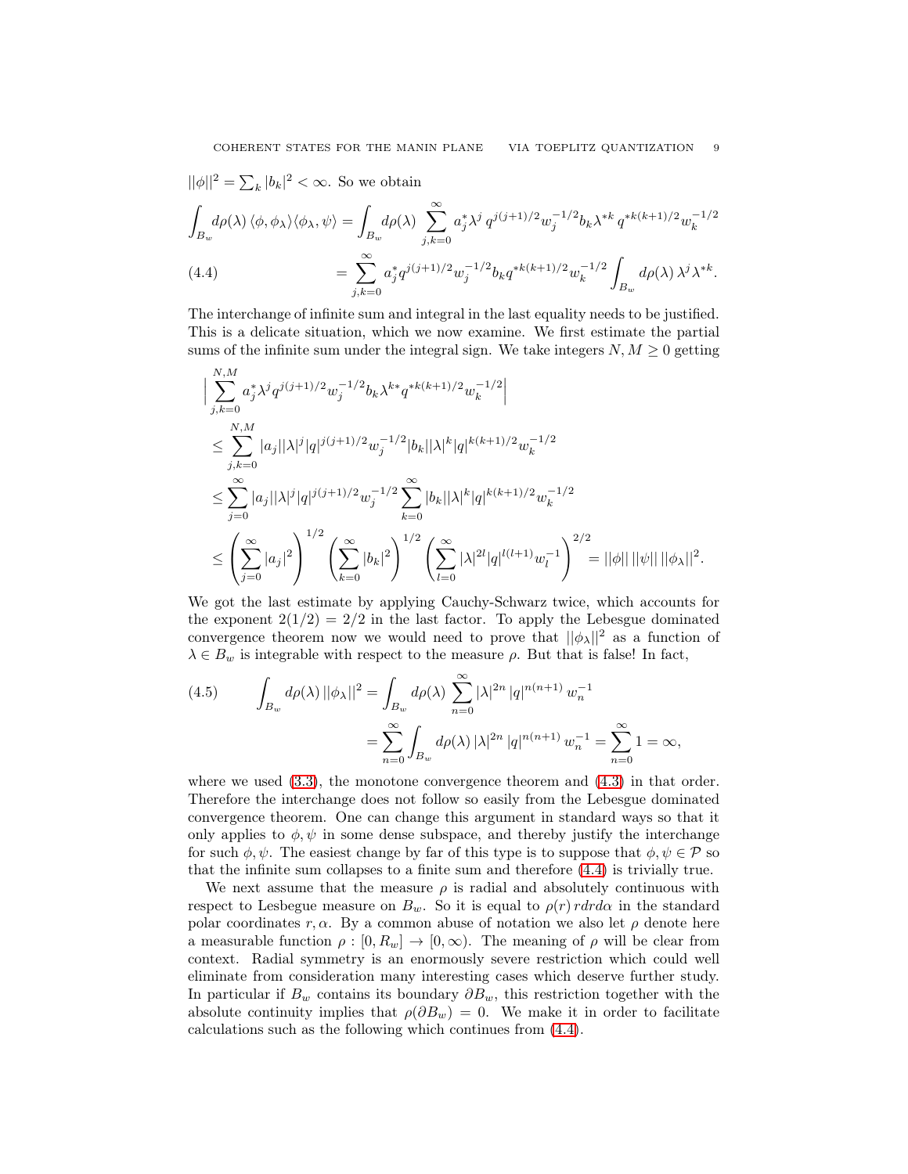$||\phi||^2 = \sum_k |b_k|^2 < \infty$ . So we obtain

$$
\int_{B_w} d\rho(\lambda) \langle \phi, \phi_\lambda \rangle \langle \phi_\lambda, \psi \rangle = \int_{B_w} d\rho(\lambda) \sum_{j,k=0}^{\infty} a_j^* \lambda^j q^{j(j+1)/2} w_j^{-1/2} b_k \lambda^{*k} q^{*k(k+1)/2} w_k^{-1/2}
$$
\n
$$
(4.4) \qquad \qquad = \sum_{j,k=0}^{\infty} a_j^* q^{j(j+1)/2} w_j^{-1/2} b_k q^{*k(k+1)/2} w_k^{-1/2} \int_{B_w} d\rho(\lambda) \lambda^j \lambda^{*k}.
$$

<span id="page-8-0"></span>The interchange of infinite sum and integral in the last equality needs to be justified. This is a delicate situation, which we now examine. We first estimate the partial sums of the infinite sum under the integral sign. We take integers  $N, M \geq 0$  getting

$$
\begin{aligned} &\Big|\sum_{j,k=0}^{N,M}a_j^*\lambda^jq^{j(j+1)/2}w_j^{-1/2}b_k\lambda^{k*}q^{*k(k+1)/2}w_k^{-1/2}\Big|\\ &\leq \sum_{j,k=0}^{N,M}|a_j||\lambda|^j|q|^{j(j+1)/2}w_j^{-1/2}|b_k||\lambda|^k|q|^{k(k+1)/2}w_k^{-1/2}\\ &\leq \sum_{j=0}^{\infty}|a_j||\lambda|^j|q|^{j(j+1)/2}w_j^{-1/2}\sum_{k=0}^{\infty}|b_k||\lambda|^k|q|^{k(k+1)/2}w_k^{-1/2}\\ &\leq \left(\sum_{j=0}^{\infty}|a_j|^2\right)^{1/2}\left(\sum_{k=0}^{\infty}|b_k|^2\right)^{1/2}\left(\sum_{l=0}^{\infty}|\lambda|^{2l}|q|^{l(l+1)}w_l^{-1}\right)^{2/2}=||\phi||\,||\psi||\,||\phi_\lambda||^2. \end{aligned}
$$

We got the last estimate by applying Cauchy-Schwarz twice, which accounts for the exponent  $2(1/2) = 2/2$  in the last factor. To apply the Lebesgue dominated convergence theorem now we would need to prove that  $||\phi_{\lambda}||^2$  as a function of  $\lambda \in B_w$  is integrable with respect to the measure  $\rho$ . But that is false! In fact,

<span id="page-8-1"></span>(4.5) 
$$
\int_{B_w} d\rho(\lambda) ||\phi_{\lambda}||^2 = \int_{B_w} d\rho(\lambda) \sum_{n=0}^{\infty} |\lambda|^{2n} |q|^{n(n+1)} w_n^{-1}
$$

$$
= \sum_{n=0}^{\infty} \int_{B_w} d\rho(\lambda) |\lambda|^{2n} |q|^{n(n+1)} w_n^{-1} = \sum_{n=0}^{\infty} 1 = \infty,
$$

where we used  $(3.3)$ , the monotone convergence theorem and  $(4.3)$  in that order. Therefore the interchange does not follow so easily from the Lebesgue dominated convergence theorem. One can change this argument in standard ways so that it only applies to  $\phi, \psi$  in some dense subspace, and thereby justify the interchange for such  $\phi, \psi$ . The easiest change by far of this type is to suppose that  $\phi, \psi \in \mathcal{P}$  so that the infinite sum collapses to a finite sum and therefore [\(4.4\)](#page-8-0) is trivially true.

We next assume that the measure  $\rho$  is radial and absolutely continuous with respect to Lesbegue measure on  $B_w$ . So it is equal to  $\rho(r) r dr d\alpha$  in the standard polar coordinates r,  $\alpha$ . By a common abuse of notation we also let  $\rho$  denote here a measurable function  $\rho : [0, R_w] \to [0, \infty)$ . The meaning of  $\rho$  will be clear from context. Radial symmetry is an enormously severe restriction which could well eliminate from consideration many interesting cases which deserve further study. In particular if  $B_w$  contains its boundary  $\partial B_w$ , this restriction together with the absolute continuity implies that  $\rho(\partial B_w) = 0$ . We make it in order to facilitate calculations such as the following which continues from [\(4.4\)](#page-8-0).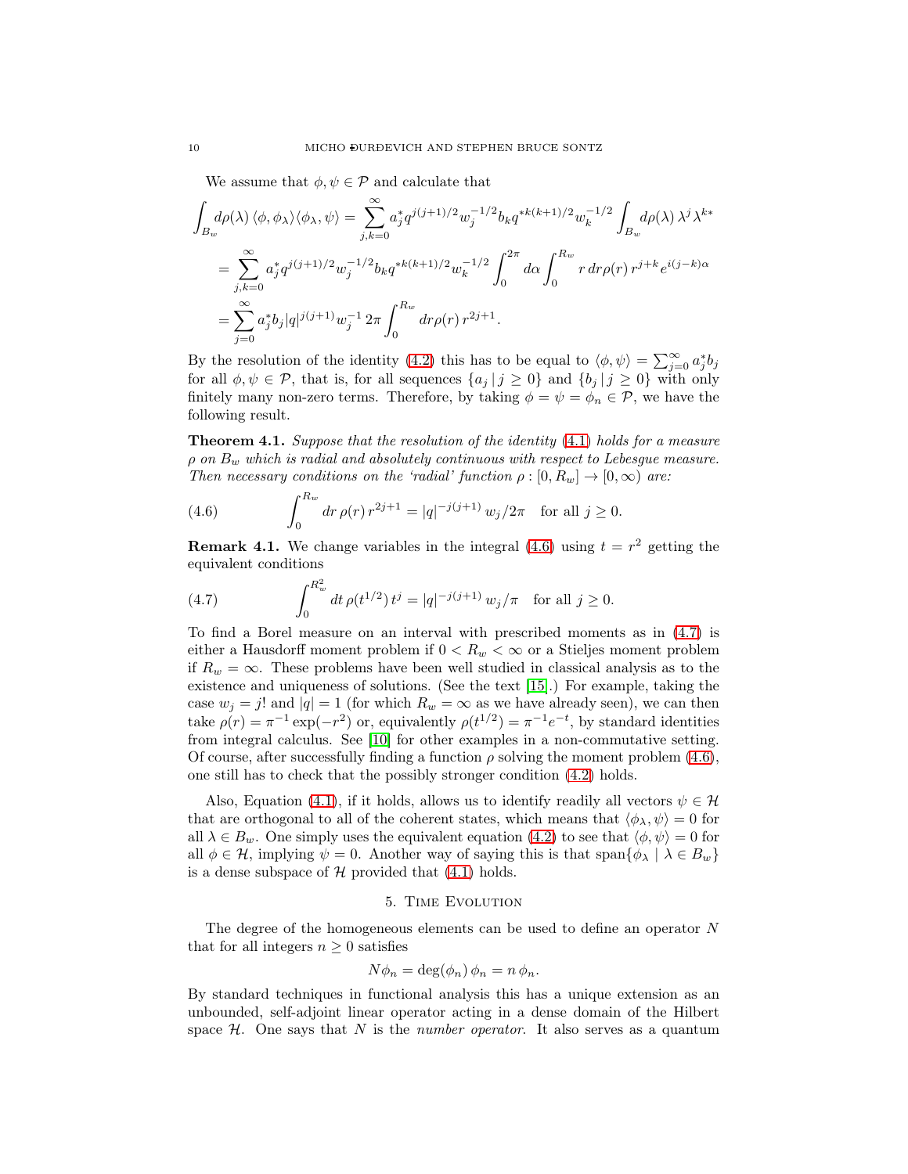We assume that  $\phi, \psi \in \mathcal{P}$  and calculate that

$$
\int_{B_w} d\rho(\lambda) \langle \phi, \phi_\lambda \rangle \langle \phi_\lambda, \psi \rangle = \sum_{j,k=0}^{\infty} a_j^* q^{j(j+1)/2} w_j^{-1/2} b_k q^{*k(k+1)/2} w_k^{-1/2} \int_{B_w} d\rho(\lambda) \lambda^j \lambda^{k*}
$$
  
= 
$$
\sum_{j,k=0}^{\infty} a_j^* q^{j(j+1)/2} w_j^{-1/2} b_k q^{*k(k+1)/2} w_k^{-1/2} \int_0^{2\pi} d\alpha \int_0^{R_w} r dr \rho(r) r^{j+k} e^{i(j-k)\alpha}
$$
  
= 
$$
\sum_{j=0}^{\infty} a_j^* b_j |q|^{j(j+1)} w_j^{-1} 2\pi \int_0^{R_w} dr \rho(r) r^{2j+1}.
$$

By the resolution of the identity [\(4.2\)](#page-7-3) this has to be equal to  $\langle \phi, \psi \rangle = \sum_{j=0}^{\infty} a_j^* b_j$ for all  $\phi, \psi \in \mathcal{P}$ , that is, for all sequences  $\{a_j | j \geq 0\}$  and  $\{b_j | j \geq 0\}$  with only finitely many non-zero terms. Therefore, by taking  $\phi = \psi = \phi_n \in \mathcal{P}$ , we have the following result.

Theorem 4.1. *Suppose that the resolution of the identity* [\(4.1\)](#page-7-1) *holds for a measure*  $\rho$  *on*  $B_w$  *which is radial and absolutely continuous with respect to Lebesgue measure. Then necessary conditions on the 'radial' function*  $\rho : [0, R_w] \to [0, \infty)$  *are:* 

<span id="page-9-1"></span>(4.6) 
$$
\int_0^{R_w} dr \, \rho(r) \, r^{2j+1} = |q|^{-j(j+1)} \, w_j / 2\pi \quad \text{for all } j \ge 0.
$$

**Remark 4.1.** We change variables in the integral  $(4.6)$  using  $t = r^2$  getting the equivalent conditions

<span id="page-9-2"></span>(4.7) 
$$
\int_0^{R_w^2} dt \,\rho(t^{1/2}) t^j = |q|^{-j(j+1)} w_j/\pi \text{ for all } j \ge 0.
$$

To find a Borel measure on an interval with prescribed moments as in [\(4.7\)](#page-9-2) is either a Hausdorff moment problem if  $0 < R_w < \infty$  or a Stieljes moment problem if  $R_w = \infty$ . These problems have been well studied in classical analysis as to the existence and uniqueness of solutions. (See the text [\[15\]](#page-23-8).) For example, taking the case  $w_j = j!$  and  $|q| = 1$  (for which  $R_w = \infty$  as we have already seen), we can then take  $\rho(r) = \pi^{-1} \exp(-r^2)$  or, equivalently  $\rho(t^{1/2}) = \pi^{-1} e^{-t}$ , by standard identities from integral calculus. See [\[10\]](#page-23-9) for other examples in a non-commutative setting. Of course, after successfully finding a function  $\rho$  solving the moment problem [\(4.6\)](#page-9-1), one still has to check that the possibly stronger condition [\(4.2\)](#page-7-3) holds.

Also, Equation [\(4.1\)](#page-7-1), if it holds, allows us to identify readily all vectors  $\psi \in \mathcal{H}$ that are orthogonal to all of the coherent states, which means that  $\langle \phi_\lambda, \psi \rangle = 0$  for all  $\lambda \in B_w$ . One simply uses the equivalent equation [\(4.2\)](#page-7-3) to see that  $\langle \phi, \psi \rangle = 0$  for all  $\phi \in \mathcal{H}$ , implying  $\psi = 0$ . Another way of saying this is that span $\{\phi_{\lambda} \mid \lambda \in B_{w}\}\$ is a dense subspace of  $H$  provided that  $(4.1)$  holds.

### 5. Time Evolution

<span id="page-9-0"></span>The degree of the homogeneous elements can be used to define an operator  $N$ that for all integers  $n \geq 0$  satisfies

$$
N\phi_n = \deg(\phi_n) \phi_n = n \phi_n.
$$

By standard techniques in functional analysis this has a unique extension as an unbounded, self-adjoint linear operator acting in a dense domain of the Hilbert space  $H$ . One says that  $N$  is the *number operator*. It also serves as a quantum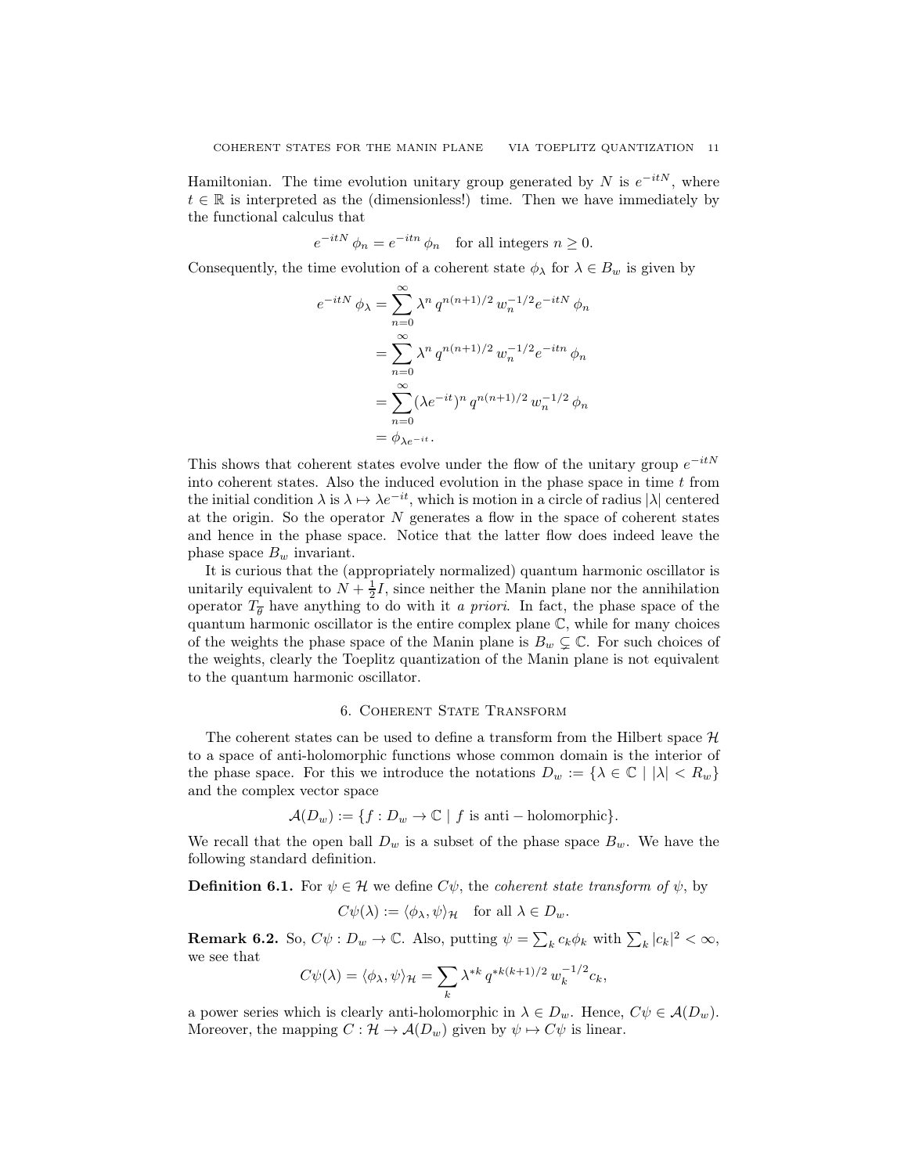Hamiltonian. The time evolution unitary group generated by N is  $e^{-itN}$ , where  $t \in \mathbb{R}$  is interpreted as the (dimensionless!) time. Then we have immediately by the functional calculus that

$$
e^{-itN} \phi_n = e^{-itn} \phi_n \quad \text{for all integers } n \ge 0.
$$

Consequently, the time evolution of a coherent state  $\phi_{\lambda}$  for  $\lambda \in B_w$  is given by

$$
e^{-itN} \phi_{\lambda} = \sum_{n=0}^{\infty} \lambda^n q^{n(n+1)/2} w_n^{-1/2} e^{-itN} \phi_n
$$
  
= 
$$
\sum_{n=0}^{\infty} \lambda^n q^{n(n+1)/2} w_n^{-1/2} e^{-itn} \phi_n
$$
  
= 
$$
\sum_{n=0}^{\infty} (\lambda e^{-it})^n q^{n(n+1)/2} w_n^{-1/2} \phi_n
$$
  
= 
$$
\phi_{\lambda e^{-it}}.
$$

This shows that coherent states evolve under the flow of the unitary group  $e^{-itN}$ into coherent states. Also the induced evolution in the phase space in time  $t$  from the initial condition  $\lambda$  is  $\lambda \mapsto \lambda e^{-it}$ , which is motion in a circle of radius  $|\lambda|$  centered at the origin. So the operator  $N$  generates a flow in the space of coherent states and hence in the phase space. Notice that the latter flow does indeed leave the phase space  $B_w$  invariant.

It is curious that the (appropriately normalized) quantum harmonic oscillator is unitarily equivalent to  $N + \frac{1}{2}I$ , since neither the Manin plane nor the annihilation operator  $T_{\overline{\theta}}$  have anything to do with it *a priori*. In fact, the phase space of the quantum harmonic oscillator is the entire complex plane  $\mathbb{C}$ , while for many choices of the weights the phase space of the Manin plane is  $B_w \subsetneq \mathbb{C}$ . For such choices of the weights, clearly the Toeplitz quantization of the Manin plane is not equivalent to the quantum harmonic oscillator.

### 6. Coherent State Transform

<span id="page-10-0"></span>The coherent states can be used to define a transform from the Hilbert space  $\mathcal{H}$ to a space of anti-holomorphic functions whose common domain is the interior of the phase space. For this we introduce the notations  $D_w := \{ \lambda \in \mathbb{C} \mid |\lambda| < R_w \}$ and the complex vector space

$$
\mathcal{A}(D_w) := \{ f : D_w \to \mathbb{C} \mid f \text{ is anti-holomorphic} \}.
$$

We recall that the open ball  $D_w$  is a subset of the phase space  $B_w$ . We have the following standard definition.

**Definition 6.1.** For  $\psi \in \mathcal{H}$  we define  $C\psi$ , the *coherent state transform of*  $\psi$ , by

$$
C\psi(\lambda) := \langle \phi_{\lambda}, \psi \rangle_{\mathcal{H}} \quad \text{for all } \lambda \in D_w.
$$

**Remark 6.2.** So,  $C\psi: D_w \to \mathbb{C}$ . Also, putting  $\psi = \sum_k c_k \phi_k$  with  $\sum_k |c_k|^2 < \infty$ , we see that

$$
C\psi(\lambda) = \langle \phi_{\lambda}, \psi \rangle_{\mathcal{H}} = \sum_{k} \lambda^{*k} q^{*k(k+1)/2} w_k^{-1/2} c_k,
$$

a power series which is clearly anti-holomorphic in  $\lambda \in D_w$ . Hence,  $C\psi \in \mathcal{A}(D_w)$ . Moreover, the mapping  $C : \mathcal{H} \to \mathcal{A}(D_w)$  given by  $\psi \mapsto C\psi$  is linear.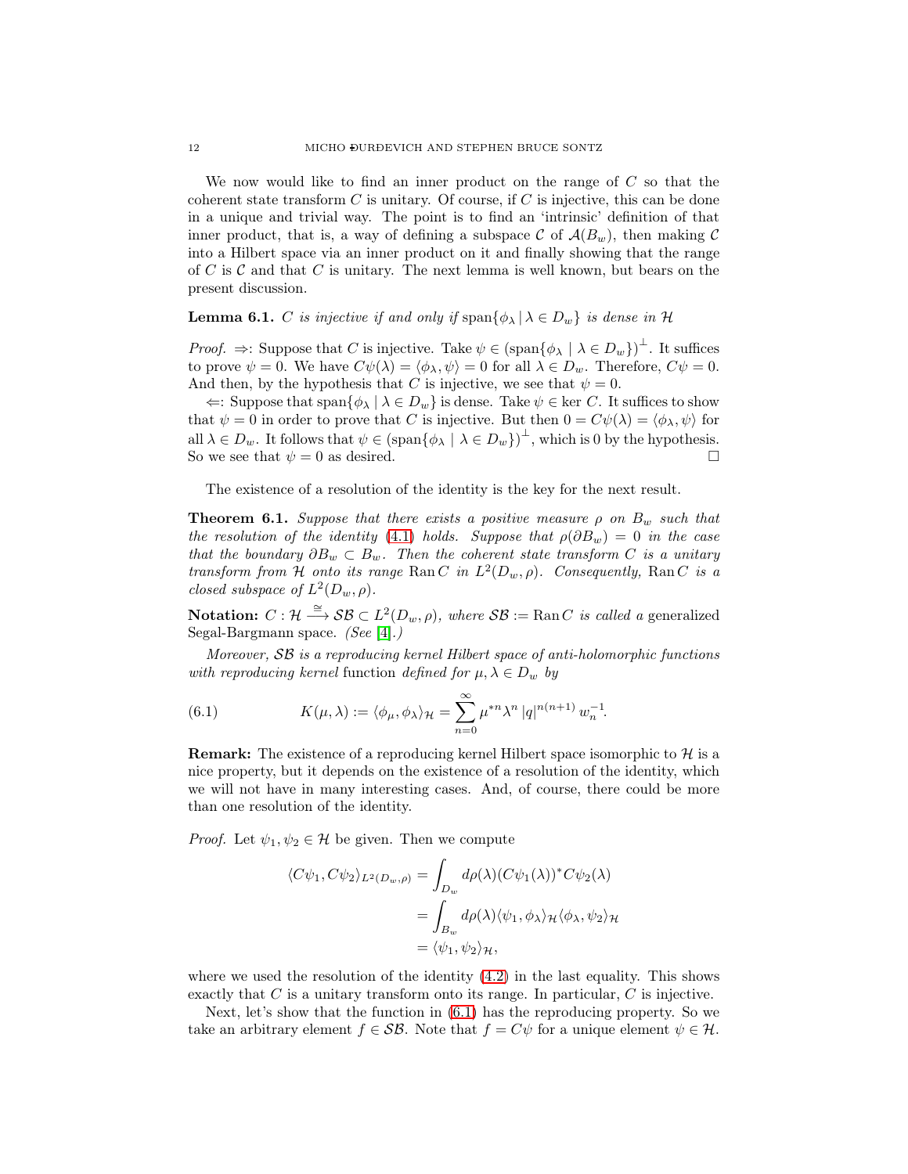We now would like to find an inner product on the range of  $C$  so that the coherent state transform  $C$  is unitary. Of course, if  $C$  is injective, this can be done in a unique and trivial way. The point is to find an 'intrinsic' definition of that inner product, that is, a way of defining a subspace C of  $\mathcal{A}(B_w)$ , then making C into a Hilbert space via an inner product on it and finally showing that the range of C is C and that C is unitary. The next lemma is well known, but bears on the present discussion.

# **Lemma 6.1.** C *is injective if and only if*  $\text{span}\{\phi_{\lambda} | \lambda \in D_w\}$  *is dense in* H

*Proof.*  $\Rightarrow$ : Suppose that *C* is injective. Take  $\psi \in (\text{span}\{\phi_{\lambda} \mid \lambda \in D_w\})^{\perp}$ . It suffices to prove  $\psi = 0$ . We have  $C\psi(\lambda) = \langle \phi_\lambda, \psi \rangle = 0$  for all  $\lambda \in D_w$ . Therefore,  $C\psi = 0$ . And then, by the hypothesis that C is injective, we see that  $\psi = 0$ .

 $\Leftarrow$ : Suppose that span $\{\phi_{\lambda} \mid \lambda \in D_w\}$  is dense. Take  $\psi \in \text{ker } C$ . It suffices to show that  $\psi = 0$  in order to prove that C is injective. But then  $0 = C\psi(\lambda) = \langle \phi_\lambda, \psi \rangle$  for all  $\lambda \in D_w$ . It follows that  $\psi \in (\text{span}\{\phi_{\lambda} \mid \lambda \in D_w\})^{\perp}$ , which is 0 by the hypothesis. So we see that  $\psi = 0$  as desired.

The existence of a resolution of the identity is the key for the next result.

**Theorem 6.1.** *Suppose that there exists a positive measure*  $\rho$  *on*  $B_w$  *such that the resolution of the identity* [\(4.1\)](#page-7-1) *holds.* Suppose that  $\rho(\partial B_w) = 0$  *in the case that the boundary*  $\partial B_w \subset B_w$ *. Then the coherent state transform* C *is a unitary transform from* H *onto its range* Ran C *in*  $L^2(D_w, \rho)$ *. Consequently,* Ran C *is a closed subspace of*  $L^2(D_w, \rho)$ *.* 

Notation:  $C: \mathcal{H} \stackrel{\cong}{\longrightarrow} \mathcal{SB} \subset L^2(D_w, \rho)$ , where  $\mathcal{SB} := \text{Ran } C$  *is called a* generalized Segal-Bargmann space. *(See* [\[4\]](#page-23-3)*.)*

*Moreover,* SB *is a reproducing kernel Hilbert space of anti-holomorphic functions with reproducing kernel* function *defined for*  $\mu, \lambda \in D_w$  *by* 

<span id="page-11-0"></span>(6.1) 
$$
K(\mu,\lambda) := \langle \phi_{\mu}, \phi_{\lambda} \rangle_{\mathcal{H}} = \sum_{n=0}^{\infty} \mu^{*n} \lambda^{n} |q|^{n(n+1)} w_{n}^{-1}.
$$

**Remark:** The existence of a reproducing kernel Hilbert space isomorphic to  $\mathcal{H}$  is a nice property, but it depends on the existence of a resolution of the identity, which we will not have in many interesting cases. And, of course, there could be more than one resolution of the identity.

*Proof.* Let  $\psi_1, \psi_2 \in \mathcal{H}$  be given. Then we compute

$$
\langle C\psi_1, C\psi_2 \rangle_{L^2(D_w, \rho)} = \int_{D_w} d\rho(\lambda) (C\psi_1(\lambda))^* C\psi_2(\lambda)
$$
  
= 
$$
\int_{B_w} d\rho(\lambda) \langle \psi_1, \phi_\lambda \rangle_{\mathcal{H}} \langle \phi_\lambda, \psi_2 \rangle_{\mathcal{H}}
$$
  
= 
$$
\langle \psi_1, \psi_2 \rangle_{\mathcal{H}},
$$

where we used the resolution of the identity  $(4.2)$  in the last equality. This shows exactly that  $C$  is a unitary transform onto its range. In particular,  $C$  is injective.

Next, let's show that the function in [\(6.1\)](#page-11-0) has the reproducing property. So we take an arbitrary element  $f \in \mathcal{SB}$ . Note that  $f = C\psi$  for a unique element  $\psi \in \mathcal{H}$ .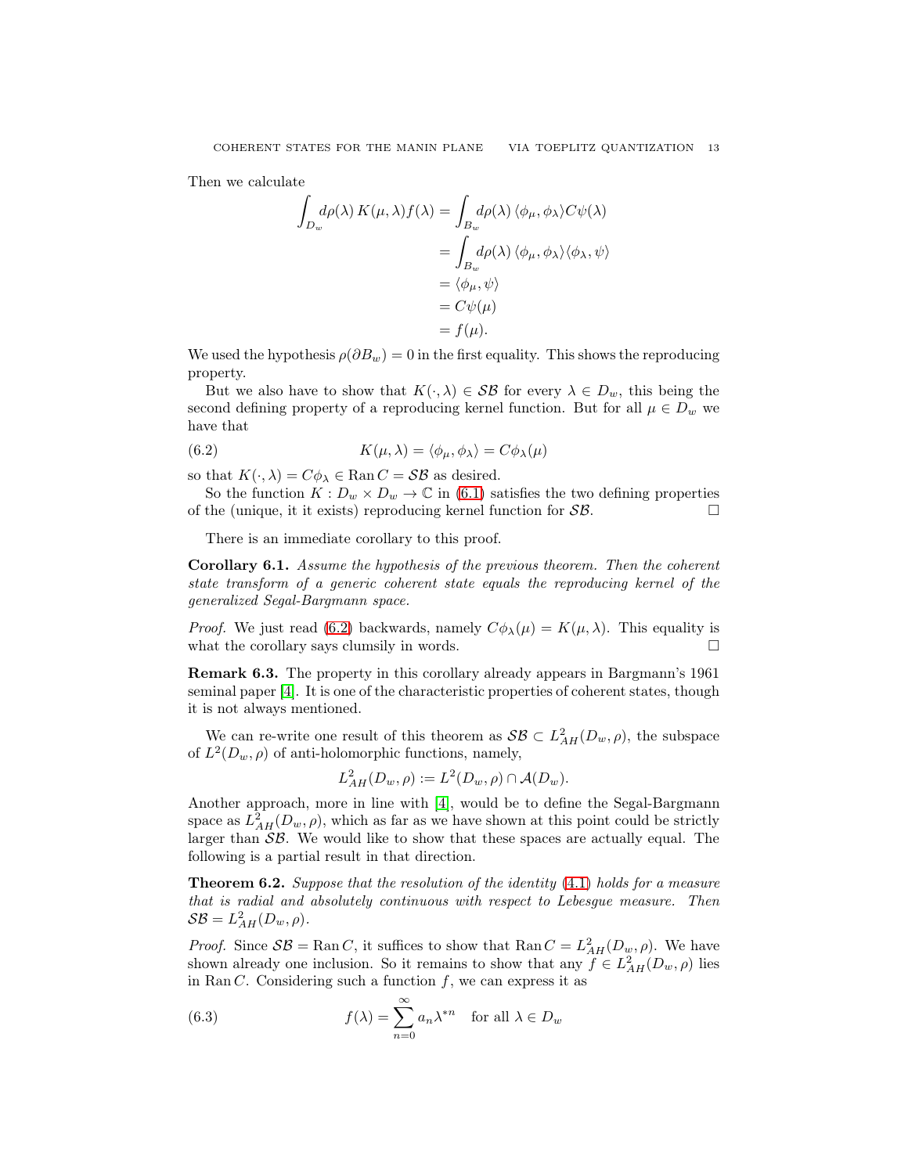Then we calculate

$$
\int_{D_w} d\rho(\lambda) K(\mu, \lambda) f(\lambda) = \int_{B_w} d\rho(\lambda) \langle \phi_\mu, \phi_\lambda \rangle C \psi(\lambda)
$$

$$
= \int_{B_w} d\rho(\lambda) \langle \phi_\mu, \phi_\lambda \rangle \langle \phi_\lambda, \psi \rangle
$$

$$
= \langle \phi_\mu, \psi \rangle
$$

$$
= C \psi(\mu)
$$

$$
= f(\mu).
$$

We used the hypothesis  $\rho(\partial B_w) = 0$  in the first equality. This shows the reproducing property.

But we also have to show that  $K(\cdot, \lambda) \in \mathcal{SB}$  for every  $\lambda \in D_w$ , this being the second defining property of a reproducing kernel function. But for all  $\mu \in D_w$  we have that

<span id="page-12-0"></span>(6.2) 
$$
K(\mu, \lambda) = \langle \phi_{\mu}, \phi_{\lambda} \rangle = C \phi_{\lambda}(\mu)
$$

so that  $K(\cdot, \lambda) = C\phi_{\lambda} \in \text{Ran}\,\mathbb{C} = \mathcal{SB}$  as desired.

So the function  $K: D_w \times D_w \to \mathbb{C}$  in [\(6.1\)](#page-11-0) satisfies the two defining properties of the (unique, it it exists) reproducing kernel function for  $\mathcal{SB}$ .

There is an immediate corollary to this proof.

Corollary 6.1. *Assume the hypothesis of the previous theorem. Then the coherent state transform of a generic coherent state equals the reproducing kernel of the generalized Segal-Bargmann space.*

*Proof.* We just read [\(6.2\)](#page-12-0) backwards, namely  $C\phi_{\lambda}(\mu) = K(\mu, \lambda)$ . This equality is what the corollary says clumsily in words.  $\Box$ 

Remark 6.3. The property in this corollary already appears in Bargmann's 1961 seminal paper [\[4\]](#page-23-3). It is one of the characteristic properties of coherent states, though it is not always mentioned.

We can re-write one result of this theorem as  $\mathcal{SB} \subset L^2_{AH}(D_w, \rho)$ , the subspace of  $L^2(D_w, \rho)$  of anti-holomorphic functions, namely,

$$
L^2_{AH}(D_w,\rho) := L^2(D_w,\rho) \cap \mathcal{A}(D_w).
$$

Another approach, more in line with [\[4\]](#page-23-3), would be to define the Segal-Bargmann space as  $L^2_{AH}(D_w, \rho)$ , which as far as we have shown at this point could be strictly larger than  $\mathcal{SB}$ . We would like to show that these spaces are actually equal. The following is a partial result in that direction.

<span id="page-12-2"></span>Theorem 6.2. *Suppose that the resolution of the identity* [\(4.1\)](#page-7-1) *holds for a measure that is radial and absolutely continuous with respect to Lebesgue measure. Then*  $\mathcal{SB}=L^2_{AH}(D_w,\rho).$ 

*Proof.* Since  $\mathcal{SB} = \text{Ran } C$ , it suffices to show that  $\text{Ran } C = L^2_{AH}(D_w, \rho)$ . We have shown already one inclusion. So it remains to show that any  $f \in L^2_{AH}(D_w, \rho)$  lies in Ran C. Considering such a function  $f$ , we can express it as

<span id="page-12-1"></span>(6.3) 
$$
f(\lambda) = \sum_{n=0}^{\infty} a_n \lambda^{*n} \text{ for all } \lambda \in D_w
$$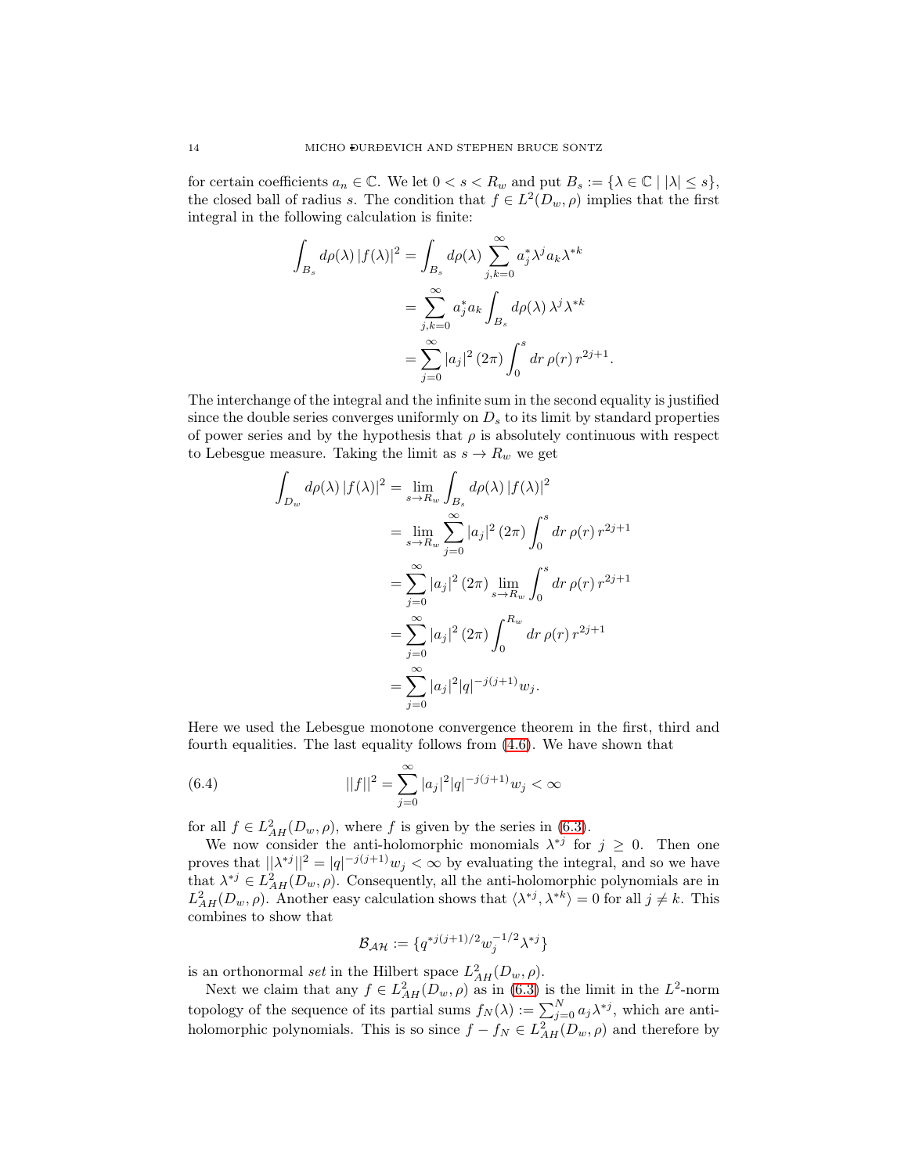for certain coefficients  $a_n \in \mathbb{C}$ . We let  $0 < s < R_w$  and put  $B_s := \{ \lambda \in \mathbb{C} \mid |\lambda| \leq s \},\$ the closed ball of radius s. The condition that  $f \in L^2(D_w, \rho)$  implies that the first integral in the following calculation is finite:

$$
\int_{B_s} d\rho(\lambda) |f(\lambda)|^2 = \int_{B_s} d\rho(\lambda) \sum_{j,k=0}^{\infty} a_j^* \lambda^j a_k \lambda^{*k}
$$

$$
= \sum_{j,k=0}^{\infty} a_j^* a_k \int_{B_s} d\rho(\lambda) \lambda^j \lambda^{*k}
$$

$$
= \sum_{j=0}^{\infty} |a_j|^2 (2\pi) \int_0^s dr \, \rho(r) \, r^{2j+1}.
$$

The interchange of the integral and the infinite sum in the second equality is justified since the double series converges uniformly on  $D_s$  to its limit by standard properties of power series and by the hypothesis that  $\rho$  is absolutely continuous with respect to Lebesgue measure. Taking the limit as  $s \to R_w$  we get

$$
\int_{D_w} d\rho(\lambda) |f(\lambda)|^2 = \lim_{s \to R_w} \int_{B_s} d\rho(\lambda) |f(\lambda)|^2
$$
  
\n
$$
= \lim_{s \to R_w} \sum_{j=0}^{\infty} |a_j|^2 (2\pi) \int_0^s dr \,\rho(r) \, r^{2j+1}
$$
  
\n
$$
= \sum_{j=0}^{\infty} |a_j|^2 (2\pi) \lim_{s \to R_w} \int_0^s dr \,\rho(r) \, r^{2j+1}
$$
  
\n
$$
= \sum_{j=0}^{\infty} |a_j|^2 (2\pi) \int_0^{R_w} dr \,\rho(r) \, r^{2j+1}
$$
  
\n
$$
= \sum_{j=0}^{\infty} |a_j|^2 |q|^{-j(j+1)} w_j.
$$

Here we used the Lebesgue monotone convergence theorem in the first, third and fourth equalities. The last equality follows from [\(4.6\)](#page-9-1). We have shown that

(6.4) 
$$
||f||^2 = \sum_{j=0}^{\infty} |a_j|^2 |q|^{-j(j+1)} w_j < \infty
$$

for all  $f \in L^2_{AH}(D_w, \rho)$ , where f is given by the series in [\(6.3\)](#page-12-1).

We now consider the anti-holomorphic monomials  $\lambda^{*j}$  for  $j \geq 0$ . Then one proves that  $||\lambda^{*j}||^2 = |q|^{-j(j+1)}w_j < \infty$  by evaluating the integral, and so we have that  $\lambda^{*j} \in L^2_{AH}(D_w, \rho)$ . Consequently, all the anti-holomorphic polynomials are in  $L_{AH}^2(D_w, \rho)$ . Another easy calculation shows that  $\langle \lambda^{*j}, \lambda^{*k} \rangle = 0$  for all  $j \neq k$ . This combines to show that

<span id="page-13-0"></span>
$$
\mathcal{B}_{\mathcal{AH}} := \{ q^{*j(j+1)/2} w_j^{-1/2} \lambda^{*j} \}
$$

is an orthonormal *set* in the Hilbert space  $L^2_{AH}(D_w, \rho)$ .

Next we claim that any  $f \in L^2_{AH}(D_w, \rho)$  as in [\(6.3\)](#page-12-1) is the limit in the  $L^2$ -norm topology of the sequence of its partial sums  $f_N(\lambda) := \sum_{j=0}^N a_j \lambda^{*j}$ , which are antiholomorphic polynomials. This is so since  $f - f_N \in L^2_{AH}(D_w, \rho)$  and therefore by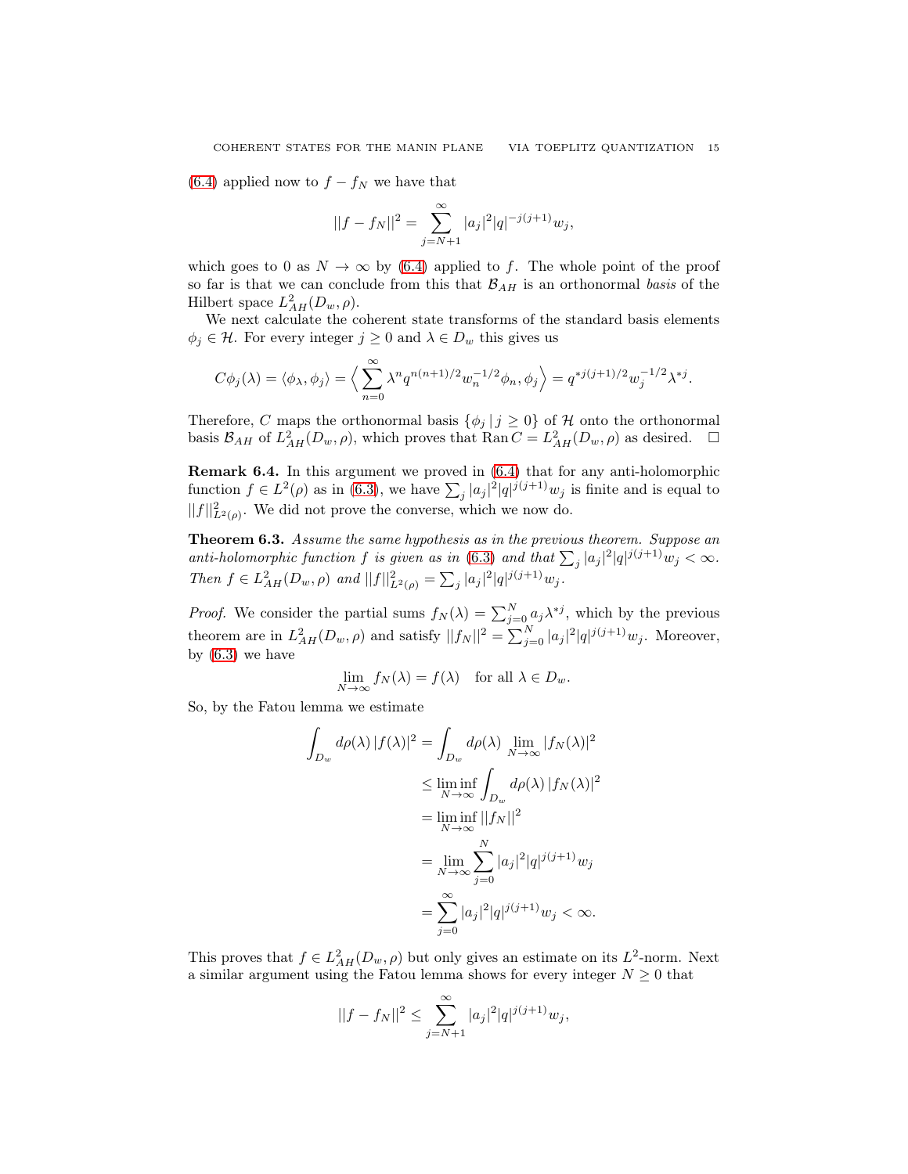[\(6.4\)](#page-13-0) applied now to  $f - f_N$  we have that

$$
||f - f_N||^2 = \sum_{j=N+1}^{\infty} |a_j|^2 |q|^{-j(j+1)} w_j,
$$

which goes to 0 as  $N \to \infty$  by [\(6.4\)](#page-13-0) applied to f. The whole point of the proof so far is that we can conclude from this that  $\mathcal{B}_{AH}$  is an orthonormal *basis* of the Hilbert space  $L^2_{AH}(D_w,\rho)$ .

We next calculate the coherent state transforms of the standard basis elements  $\phi_j \in \mathcal{H}$ . For every integer  $j \geq 0$  and  $\lambda \in D_w$  this gives us

$$
C\phi_j(\lambda) = \langle \phi_\lambda, \phi_j \rangle = \Big\langle \sum_{n=0}^{\infty} \lambda^n q^{n(n+1)/2} w_n^{-1/2} \phi_n, \phi_j \Big\rangle = q^{*j(j+1)/2} w_j^{-1/2} \lambda^{*j}.
$$

Therefore, C maps the orthonormal basis  $\{\phi_i | j \geq 0\}$  of H onto the orthonormal basis  $\mathcal{B}_{AH}$  of  $L^2_{AH}(D_w, \rho)$ , which proves that  $\text{Ran}\,C=L^2_{AH}(D_w, \rho)$  as desired.  $\square$ 

Remark 6.4. In this argument we proved in [\(6.4\)](#page-13-0) that for any anti-holomorphic function  $f \in L^2(\rho)$  as in [\(6.3\)](#page-12-1), we have  $\sum_j |a_j|^2 |q|^{j(j+1)} w_j$  is finite and is equal to  $||f||_{L^2(\rho)}^2$ . We did not prove the converse, which we now do.

Theorem 6.3. *Assume the same hypothesis as in the previous theorem. Suppose an anti-holomorphic function* f *is given as in* [\(6.3\)](#page-12-1) *and that*  $\sum_j |a_j|^2 |q|^{j(j+1)}w_j < \infty$ . *Then*  $f \in L^2_{AH}(D_w, \rho)$  *and*  $||f||^2_{L^2(\rho)} = \sum_j |a_j|^2 |q|^{j(j+1)} w_j$ .

*Proof.* We consider the partial sums  $f_N(\lambda) = \sum_{j=0}^N a_j \lambda^{*j}$ , which by the previous theorem are in  $L_{AH}^2(D_w, \rho)$  and satisfy  $||f_N||^2 = \sum_{j=0}^N |a_j|^2 |q|^{j(j+1)}w_j$ . Moreover, by  $(6.3)$  we have

$$
\lim_{N \to \infty} f_N(\lambda) = f(\lambda) \quad \text{for all } \lambda \in D_w.
$$

So, by the Fatou lemma we estimate

$$
\int_{D_w} d\rho(\lambda) |f(\lambda)|^2 = \int_{D_w} d\rho(\lambda) \lim_{N \to \infty} |f_N(\lambda)|^2
$$
  
\n
$$
\leq \liminf_{N \to \infty} \int_{D_w} d\rho(\lambda) |f_N(\lambda)|^2
$$
  
\n
$$
= \liminf_{N \to \infty} ||f_N||^2
$$
  
\n
$$
= \lim_{N \to \infty} \sum_{j=0}^N |a_j|^2 |q|^{j(j+1)} w_j
$$
  
\n
$$
= \sum_{j=0}^\infty |a_j|^2 |q|^{j(j+1)} w_j < \infty.
$$

This proves that  $f \in L^2_{AH}(D_w, \rho)$  but only gives an estimate on its  $L^2$ -norm. Next a similar argument using the Fatou lemma shows for every integer  $N \geq 0$  that

$$
||f - f_N||^2 \le \sum_{j=N+1}^{\infty} |a_j|^2 |q|^{j(j+1)} w_j,
$$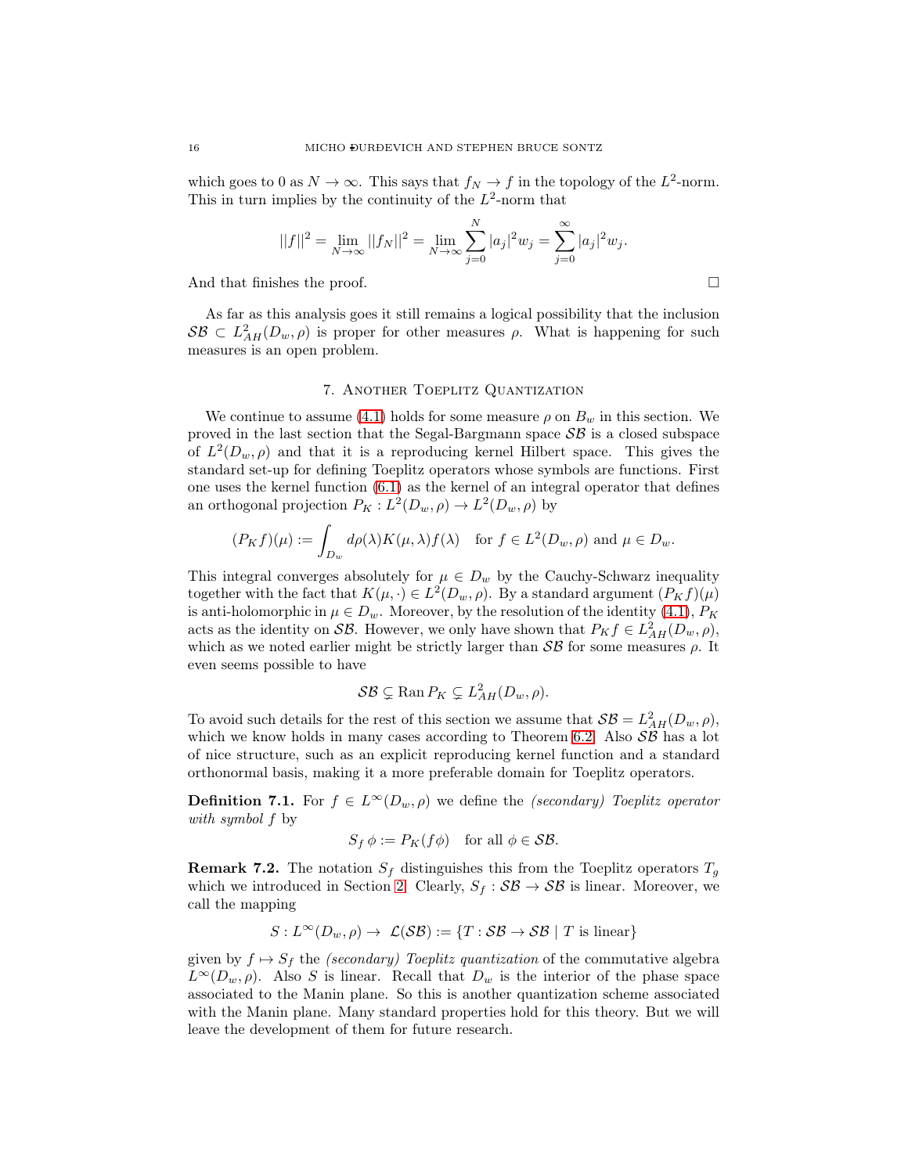which goes to 0 as  $N \to \infty$ . This says that  $f_N \to f$  in the topology of the  $L^2$ -norm. This in turn implies by the continuity of the  $L^2$ -norm that

$$
||f||^{2} = \lim_{N \to \infty} ||f_{N}||^{2} = \lim_{N \to \infty} \sum_{j=0}^{N} |a_{j}|^{2} w_{j} = \sum_{j=0}^{\infty} |a_{j}|^{2} w_{j}.
$$

And that finishes the proof.

As far as this analysis goes it still remains a logical possibility that the inclusion  $S\mathcal{B} \subset L^2_{AH}(D_w,\rho)$  is proper for other measures  $\rho$ . What is happening for such measures is an open problem.

### 7. Another Toeplitz Quantization

<span id="page-15-0"></span>We continue to assume [\(4.1\)](#page-7-1) holds for some measure  $\rho$  on  $B_w$  in this section. We proved in the last section that the Segal-Bargmann space  $\mathcal{SB}$  is a closed subspace of  $L^2(D_w, \rho)$  and that it is a reproducing kernel Hilbert space. This gives the standard set-up for defining Toeplitz operators whose symbols are functions. First one uses the kernel function [\(6.1\)](#page-11-0) as the kernel of an integral operator that defines an orthogonal projection  $P_K: L^2(D_w, \rho) \to L^2(D_w, \rho)$  by

$$
(P_K f)(\mu) := \int_{D_w} d\rho(\lambda) K(\mu, \lambda) f(\lambda) \quad \text{for } f \in L^2(D_w, \rho) \text{ and } \mu \in D_w.
$$

This integral converges absolutely for  $\mu \in D_w$  by the Cauchy-Schwarz inequality together with the fact that  $K(\mu, \cdot) \in L^2(D_w, \rho)$ . By a standard argument  $(P_K f)(\mu)$ is anti-holomorphic in  $\mu \in D_w$ . Moreover, by the resolution of the identity [\(4.1\)](#page-7-1),  $P_K$ acts as the identity on SB. However, we only have shown that  $P_K f \in L^2_{AH}(D_w, \rho)$ , which as we noted earlier might be strictly larger than  $\mathcal{SB}$  for some measures  $\rho$ . It even seems possible to have

$$
\mathcal{SB} \subsetneq \text{Ran}\, P_K \subsetneq L^2_{AH}(D_w,\rho).
$$

To avoid such details for the rest of this section we assume that  $\mathcal{SB} = L^2_{AH}(D_w, \rho)$ , which we know holds in many cases according to Theorem [6.2.](#page-12-2) Also  $\mathcal{SB}$  has a lot of nice structure, such as an explicit reproducing kernel function and a standard orthonormal basis, making it a more preferable domain for Toeplitz operators.

**Definition 7.1.** For  $f \in L^{\infty}(D_w, \rho)$  we define the *(secondary) Toeplitz operator with symbol* f by

$$
S_f \phi := P_K(f\phi) \quad \text{for all } \phi \in \mathcal{SB}.
$$

**Remark 7.2.** The notation  $S_f$  distinguishes this from the Toeplitz operators  $T_g$ which we introduced in Section [2.](#page-1-1) Clearly,  $S_f : \mathcal{SB} \to \mathcal{SB}$  is linear. Moreover, we call the mapping

$$
S: L^{\infty}(D_w, \rho) \to \mathcal{L}(\mathcal{S}\mathcal{B}) := \{T: \mathcal{S}\mathcal{B} \to \mathcal{S}\mathcal{B} \mid T \text{ is linear}\}
$$

given by  $f \mapsto S_f$  the *(secondary) Toeplitz quantization* of the commutative algebra  $L^{\infty}(D_w, \rho)$ . Also S is linear. Recall that  $D_w$  is the interior of the phase space associated to the Manin plane. So this is another quantization scheme associated with the Manin plane. Many standard properties hold for this theory. But we will leave the development of them for future research.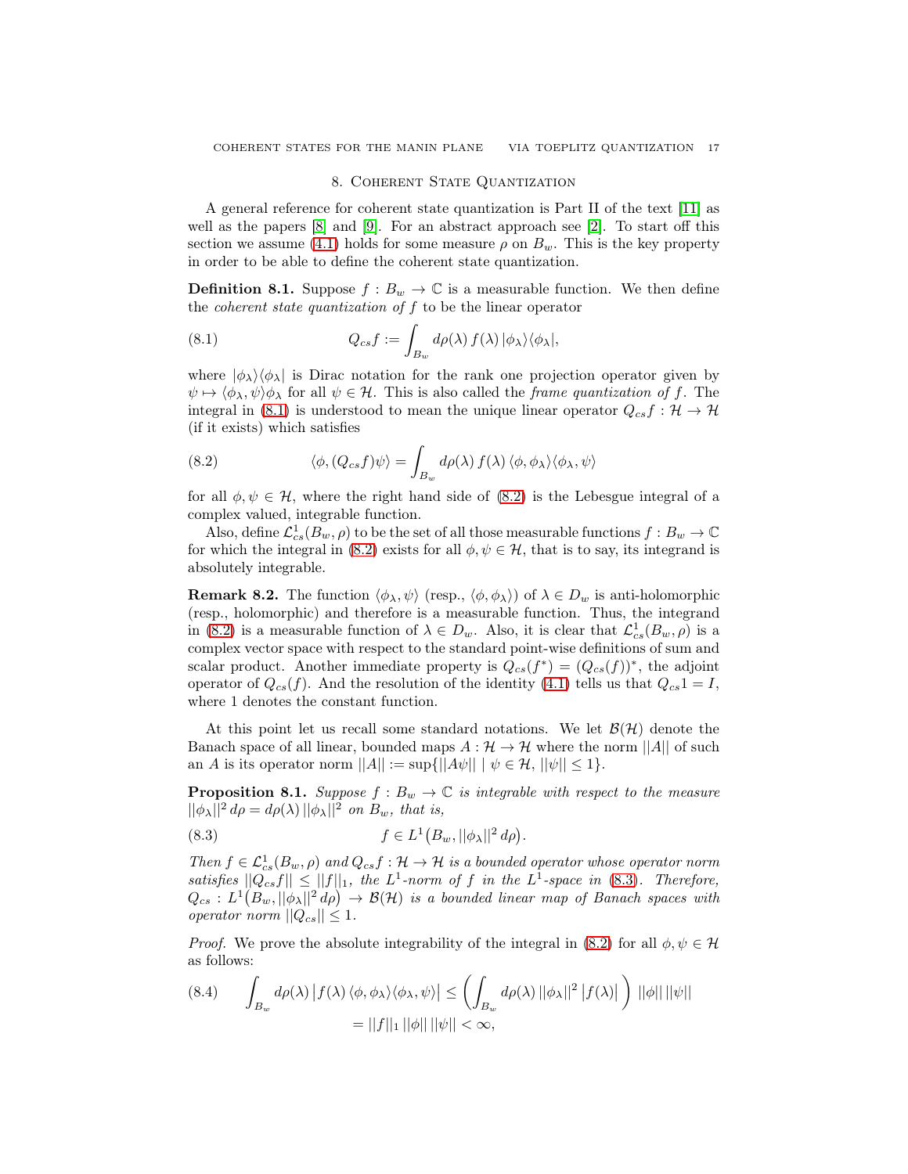### <span id="page-16-2"></span>8. COHERENT STATE QUANTIZATION

<span id="page-16-0"></span>A general reference for coherent state quantization is Part II of the text [\[11\]](#page-23-6) as well as the papers [\[8\]](#page-23-10) and [\[9\]](#page-23-11). For an abstract approach see [\[2\]](#page-23-12). To start off this section we assume [\(4.1\)](#page-7-1) holds for some measure  $\rho$  on  $B_w$ . This is the key property in order to be able to define the coherent state quantization.

**Definition 8.1.** Suppose  $f: B_w \to \mathbb{C}$  is a measurable function. We then define the *coherent state quantization of* f to be the linear operator

(8.1) 
$$
Q_{cs}f := \int_{B_w} d\rho(\lambda) f(\lambda) |\phi_{\lambda}\rangle \langle \phi_{\lambda}|,
$$

where  $|\phi_{\lambda}\rangle\langle\phi_{\lambda}|$  is Dirac notation for the rank one projection operator given by  $\psi \mapsto \langle \phi_{\lambda}, \psi \rangle \phi_{\lambda}$  for all  $\psi \in \mathcal{H}$ . This is also called the *frame quantization of* f. The integral in [\(8.1\)](#page-16-2) is understood to mean the unique linear operator  $Q_{cs}f : \mathcal{H} \to \mathcal{H}$ (if it exists) which satisfies

<span id="page-16-3"></span>(8.2) 
$$
\langle \phi, (Q_{cs} f) \psi \rangle = \int_{B_w} d\rho(\lambda) f(\lambda) \langle \phi, \phi_\lambda \rangle \langle \phi_\lambda, \psi \rangle
$$

for all  $\phi, \psi \in \mathcal{H}$ , where the right hand side of [\(8.2\)](#page-16-3) is the Lebesgue integral of a complex valued, integrable function.

Also, define  $\mathcal{L}_{cs}^1(B_w,\rho)$  to be the set of all those measurable functions  $f:B_w\to\mathbb{C}$ for which the integral in [\(8.2\)](#page-16-3) exists for all  $\phi, \psi \in \mathcal{H}$ , that is to say, its integrand is absolutely integrable.

<span id="page-16-1"></span>**Remark 8.2.** The function  $\langle \phi_\lambda, \psi \rangle$  (resp.,  $\langle \phi, \phi_\lambda \rangle$ ) of  $\lambda \in D_w$  is anti-holomorphic (resp., holomorphic) and therefore is a measurable function. Thus, the integrand in [\(8.2\)](#page-16-3) is a measurable function of  $\lambda \in D_w$ . Also, it is clear that  $\mathcal{L}_{cs}^1(B_w, \rho)$  is a complex vector space with respect to the standard point-wise definitions of sum and scalar product. Another immediate property is  $Q_{cs}(f^*) = (Q_{cs}(f))^*$ , the adjoint operator of  $Q_{cs}(f)$ . And the resolution of the identity [\(4.1\)](#page-7-1) tells us that  $Q_{cs}1 = I$ , where 1 denotes the constant function.

At this point let us recall some standard notations. We let  $\mathcal{B}(\mathcal{H})$  denote the Banach space of all linear, bounded maps  $A : \mathcal{H} \to \mathcal{H}$  where the norm  $||A||$  of such an A is its operator norm  $||A|| := \sup{||A\psi|| \mid \psi \in \mathcal{H}, ||\psi|| \leq 1}.$ 

**Proposition 8.1.** *Suppose*  $f : B_w \to \mathbb{C}$  *is integrable with respect to the measure*  $||\phi_{\lambda}||^2 d\rho = d\rho(\lambda) ||\phi_{\lambda}||^2$  *on*  $B_w$ *, that is,* 

<span id="page-16-4"></span>
$$
(8.3) \t\t f \in L^1(B_w, ||\phi_\lambda||^2 d\rho).
$$

*Then*  $f \in \mathcal{L}_{cs}^1(B_w, \rho)$  and  $Q_{cs}f : \mathcal{H} \to \mathcal{H}$  *is a bounded operator whose operator norm satisfies*  $||Q_{cs}f|| \leq ||f||_1$ , the L<sup>1</sup>-norm of f in the L<sup>1</sup>-space in [\(8.3\)](#page-16-4). Therefore,  $Q_{cs} : L^1(B_w, ||\phi_\lambda||^2 d\rho) \to \mathcal{B}(\mathcal{H})$  is a bounded linear map of Banach spaces with *operator norm*  $||Q_{cs}|| \leq 1$ .

*Proof.* We prove the absolute integrability of the integral in [\(8.2\)](#page-16-3) for all  $\phi, \psi \in \mathcal{H}$ as follows:

$$
(8.4) \qquad \int_{B_w} d\rho(\lambda) \left| f(\lambda) \langle \phi, \phi_\lambda \rangle \langle \phi_\lambda, \psi \rangle \right| \le \left( \int_{B_w} d\rho(\lambda) ||\phi_\lambda||^2 \left| f(\lambda) \right| \right) ||\phi|| ||\psi||
$$

$$
= ||f||_1 ||\phi|| ||\psi|| < \infty,
$$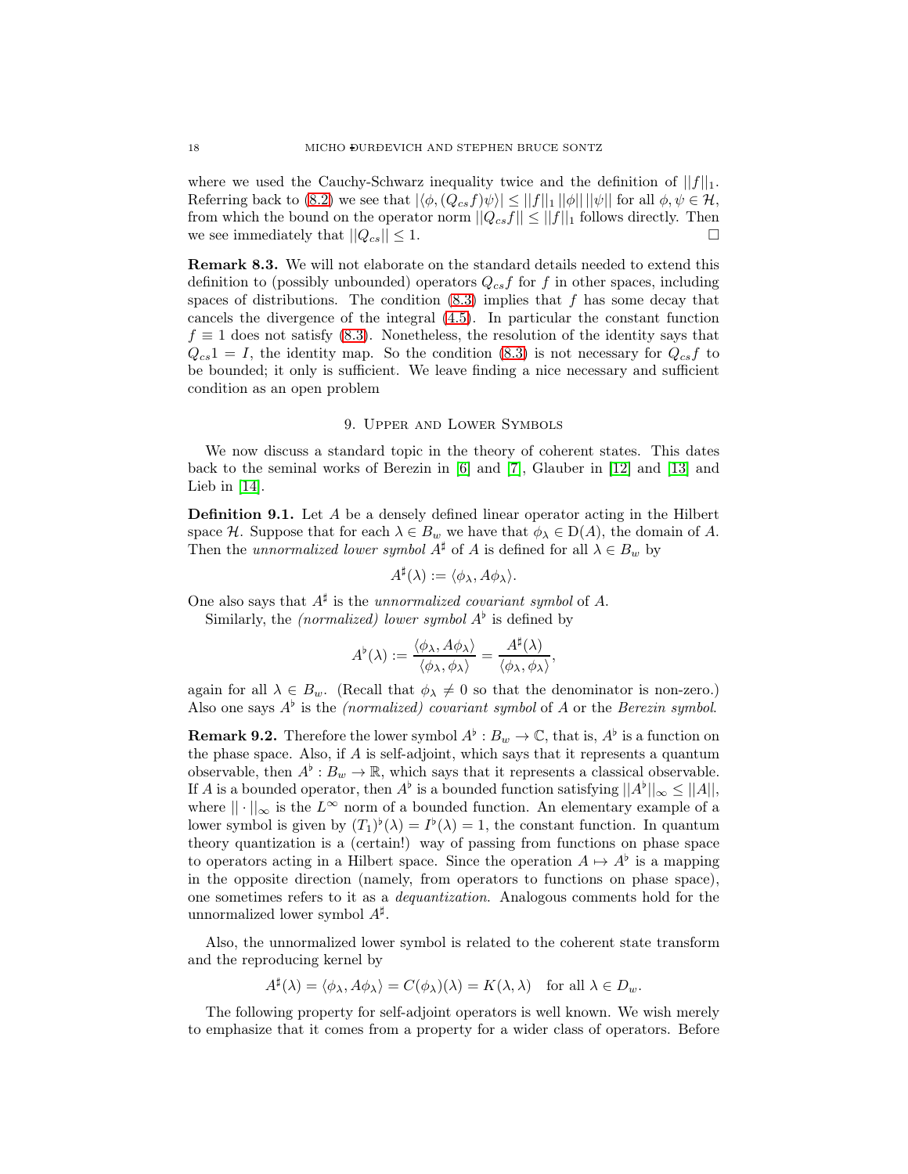where we used the Cauchy-Schwarz inequality twice and the definition of  $||f||_1$ . Referring back to [\(8.2\)](#page-16-3) we see that  $|\langle \phi, (Q_{cs}f)\psi \rangle| \le ||f||_1 ||\phi|| ||\psi||$  for all  $\phi, \psi \in \mathcal{H}$ , from which the bound on the operator norm  $||Q_{cs}f|| \leq ||f||_1$  follows directly. Then we see immediately that  $||Q_{cs}|| \leq 1$ .

Remark 8.3. We will not elaborate on the standard details needed to extend this definition to (possibly unbounded) operators  $Q_{cs}f$  for f in other spaces, including spaces of distributions. The condition  $(8.3)$  implies that f has some decay that cancels the divergence of the integral [\(4.5\)](#page-8-1). In particular the constant function  $f \equiv 1$  does not satisfy [\(8.3\)](#page-16-4). Nonetheless, the resolution of the identity says that  $Q_{cs}1 = I$ , the identity map. So the condition [\(8.3\)](#page-16-4) is not necessary for  $Q_{cs}f$  to be bounded; it only is sufficient. We leave finding a nice necessary and sufficient condition as an open problem

### 9. Upper and Lower Symbols

<span id="page-17-0"></span>We now discuss a standard topic in the theory of coherent states. This dates back to the seminal works of Berezin in [\[6\]](#page-23-13) and [\[7\]](#page-23-14), Glauber in [\[12\]](#page-23-15) and [\[13\]](#page-23-16) and Lieb in [\[14\]](#page-23-17).

<span id="page-17-1"></span>Definition 9.1. Let A be a densely defined linear operator acting in the Hilbert space H. Suppose that for each  $\lambda \in B_w$  we have that  $\phi_{\lambda} \in D(A)$ , the domain of A. Then the *unnormalized lower symbol*  $A^{\sharp}$  of A is defined for all  $\lambda \in B_w$  by

$$
A^{\sharp}(\lambda) := \langle \phi_{\lambda}, A\phi_{\lambda} \rangle.
$$

One also says that  $A^{\sharp}$  is the *unnormalized covariant symbol* of A.

Similarly, the *(normalized)* lower symbol  $A^{\flat}$  is defined by

$$
A^{\flat}(\lambda) := \frac{\langle \phi_{\lambda}, A \phi_{\lambda} \rangle}{\langle \phi_{\lambda}, \phi_{\lambda} \rangle} = \frac{A^{\sharp}(\lambda)}{\langle \phi_{\lambda}, \phi_{\lambda} \rangle},
$$

again for all  $\lambda \in B_w$ . (Recall that  $\phi_{\lambda} \neq 0$  so that the denominator is non-zero.) Also one says  $A^{\flat}$  is the *(normalized) covariant symbol* of A or the *Berezin symbol*.

**Remark 9.2.** Therefore the lower symbol  $A^{\flat}: B_w \to \mathbb{C}$ , that is,  $A^{\flat}$  is a function on the phase space. Also, if  $A$  is self-adjoint, which says that it represents a quantum observable, then  $A^{\flat}: B_w \to \mathbb{R}$ , which says that it represents a classical observable. If A is a bounded operator, then  $A^{\flat}$  is a bounded function satisfying  $||A^{\flat}||_{\infty} \leq ||A||$ , where  $|| \cdot ||_{\infty}$  is the  $L^{\infty}$  norm of a bounded function. An elementary example of a lower symbol is given by  $(T_1)^{\flat}(\lambda) = I^{\flat}(\lambda) = 1$ , the constant function. In quantum theory quantization is a (certain!) way of passing from functions on phase space to operators acting in a Hilbert space. Since the operation  $A \mapsto A^{\flat}$  is a mapping in the opposite direction (namely, from operators to functions on phase space), one sometimes refers to it as a *dequantization*. Analogous comments hold for the unnormalized lower symbol  $A^{\sharp}$ .

Also, the unnormalized lower symbol is related to the coherent state transform and the reproducing kernel by

$$
A^{\sharp}(\lambda) = \langle \phi_{\lambda}, A\phi_{\lambda} \rangle = C(\phi_{\lambda})(\lambda) = K(\lambda, \lambda) \quad \text{for all } \lambda \in D_w.
$$

The following property for self-adjoint operators is well known. We wish merely to emphasize that it comes from a property for a wider class of operators. Before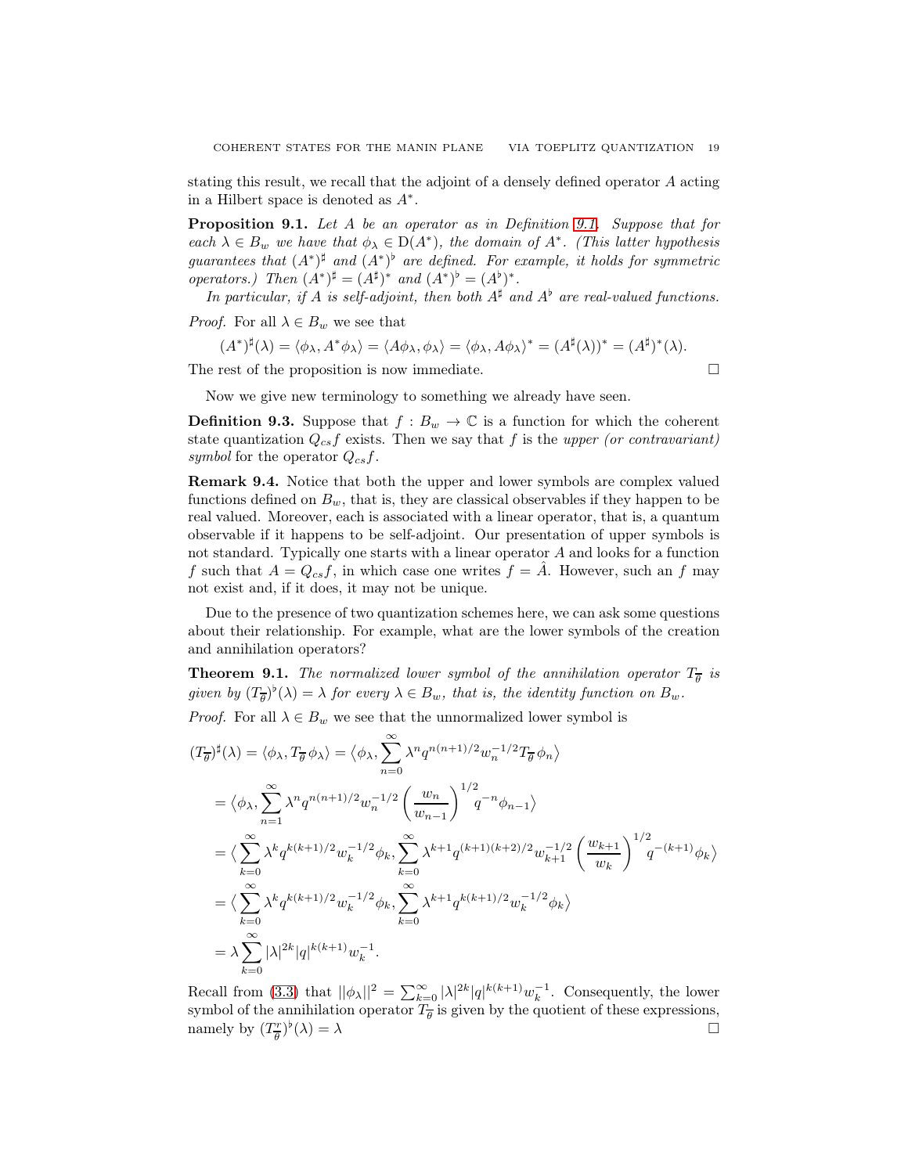stating this result, we recall that the adjoint of a densely defined operator A acting in a Hilbert space is denoted as  $A^*$ .

Proposition 9.1. *Let* A *be an operator as in Definition [9.1.](#page-17-1) Suppose that for each*  $\lambda \in B_w$  *we have that*  $\phi_{\lambda} \in D(A^*)$ *, the domain of*  $A^*$ *. (This latter hypothesis* guarantees that  $(A^*)^{\sharp}$  and  $(A^*)^{\flat}$  are defined. For example, it holds for symmetric *operators.)* Then  $(A^*)^{\sharp} = (A^{\sharp})^*$  and  $(A^*)^{\flat} = (A^{\flat})^*$ .

*In particular, if* A *is self-adjoint, then both*  $A^{\sharp}$  *and*  $A^{\flat}$  *are real-valued functions.* 

*Proof.* For all  $\lambda \in B_w$  we see that

$$
(A^*)^{\sharp}(\lambda) = \langle \phi_{\lambda}, A^* \phi_{\lambda} \rangle = \langle A \phi_{\lambda}, \phi_{\lambda} \rangle = \langle \phi_{\lambda}, A \phi_{\lambda} \rangle^* = (A^{\sharp}(\lambda))^* = (A^{\sharp})^*(\lambda).
$$

The rest of the proposition is now immediate.

$$
\Box
$$

Now we give new terminology to something we already have seen.

**Definition 9.3.** Suppose that  $f : B_w \to \mathbb{C}$  is a function for which the coherent state quantization  $Q_{cs}f$  exists. Then we say that f is the *upper (or contravariant) symbol* for the operator  $Q_{cs}f$ .

Remark 9.4. Notice that both the upper and lower symbols are complex valued functions defined on  $B_w$ , that is, they are classical observables if they happen to be real valued. Moreover, each is associated with a linear operator, that is, a quantum observable if it happens to be self-adjoint. Our presentation of upper symbols is not standard. Typically one starts with a linear operator A and looks for a function f such that  $A = Q_{cs}f$ , in which case one writes  $f = \overline{A}$ . However, such an f may not exist and, if it does, it may not be unique.

Due to the presence of two quantization schemes here, we can ask some questions about their relationship. For example, what are the lower symbols of the creation and annihilation operators?

**Theorem 9.1.** The normalized lower symbol of the annihilation operator  $T_{\overline{\theta}}$  is given by  $(T_{\overline{\theta}})^{\flat}(\lambda) = \lambda$  for every  $\lambda \in B_w$ , that is, the identity function on  $B_w$ .

*Proof.* For all  $\lambda \in B_w$  we see that the unnormalized lower symbol is

$$
(T_{\overline{\theta}})^{\sharp}(\lambda) = \langle \phi_{\lambda}, T_{\overline{\theta}} \phi_{\lambda} \rangle = \langle \phi_{\lambda}, \sum_{n=0}^{\infty} \lambda^{n} q^{n(n+1)/2} w_{n}^{-1/2} T_{\overline{\theta}} \phi_{n} \rangle
$$
  
\n
$$
= \langle \phi_{\lambda}, \sum_{n=1}^{\infty} \lambda^{n} q^{n(n+1)/2} w_{n}^{-1/2} \left( \frac{w_{n}}{w_{n-1}} \right)^{1/2} q^{-n} \phi_{n-1} \rangle
$$
  
\n
$$
= \langle \sum_{k=0}^{\infty} \lambda^{k} q^{k(k+1)/2} w_{k}^{-1/2} \phi_{k}, \sum_{k=0}^{\infty} \lambda^{k+1} q^{(k+1)(k+2)/2} w_{k+1}^{-1/2} \left( \frac{w_{k+1}}{w_{k}} \right)^{1/2} q^{-(k+1)} \phi_{k} \rangle
$$
  
\n
$$
= \langle \sum_{k=0}^{\infty} \lambda^{k} q^{k(k+1)/2} w_{k}^{-1/2} \phi_{k}, \sum_{k=0}^{\infty} \lambda^{k+1} q^{k(k+1)/2} w_{k}^{-1/2} \phi_{k} \rangle
$$
  
\n
$$
= \lambda \sum_{k=0}^{\infty} |\lambda|^{2k} |q|^{k(k+1)} w_{k}^{-1}.
$$

Recall from [\(3.3\)](#page-5-1) that  $||\phi_{\lambda}||^2 = \sum_{k=0}^{\infty} |\lambda|^{2k} |q|^{k(k+1)} w_k^{-1}$ . Consequently, the lower symbol of the annihilation operator  $T_{\overline{\theta}}$  is given by the quotient of these expressions, namely by  $(T^r_{\overline{a}})$  $(\frac{r}{\theta})^{\flat}$  $(\lambda) = \lambda$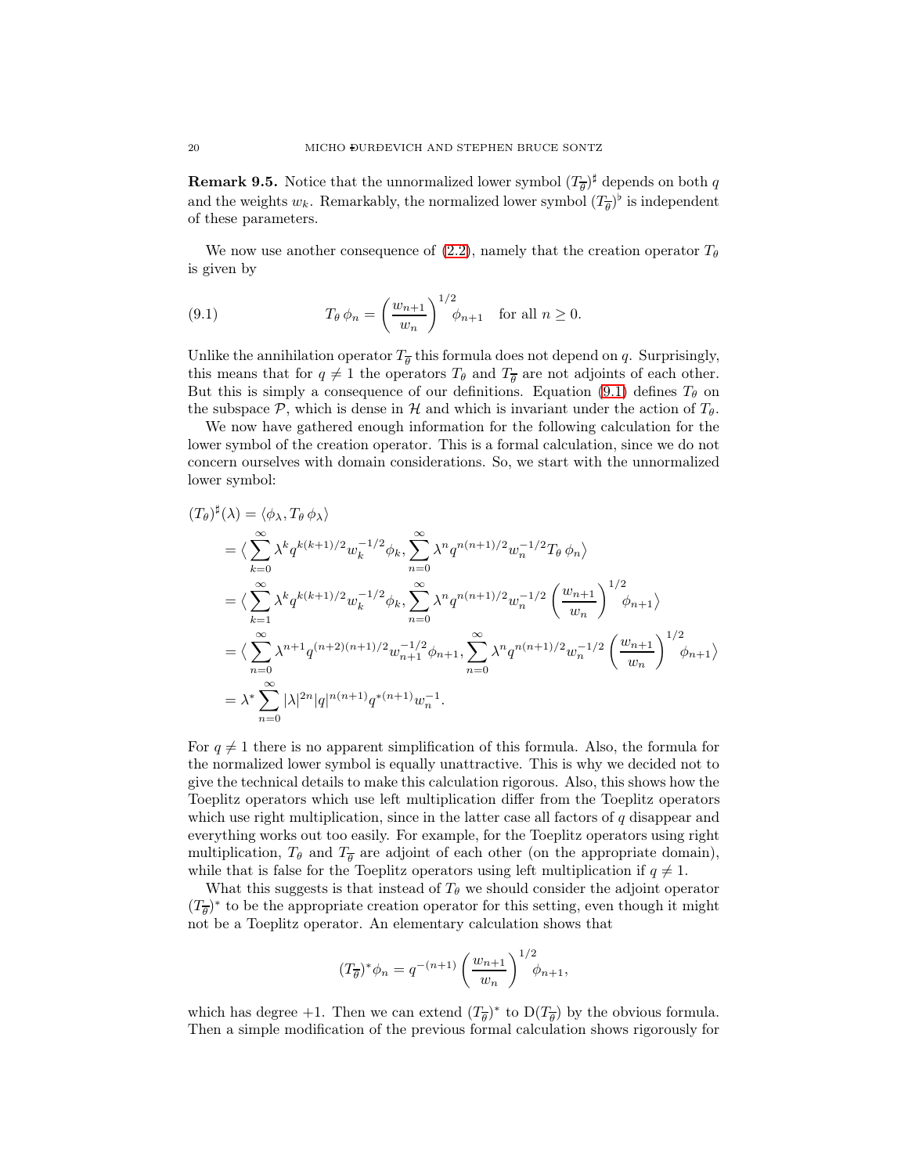**Remark 9.5.** Notice that the unnormalized lower symbol  $(T_{\overline{\theta}})^{\sharp}$  depends on both q and the weights  $w_k$ . Remarkably, the normalized lower symbol  $(T_{\overline{\theta}})^{\flat}$  is independent of these parameters.

We now use another consequence of [\(2.2\)](#page-3-0), namely that the creation operator  $T_{\theta}$ is given by

<span id="page-19-0"></span>(9.1) 
$$
T_{\theta} \phi_n = \left(\frac{w_{n+1}}{w_n}\right)^{1/2} \phi_{n+1} \text{ for all } n \ge 0.
$$

Unlike the annihilation operator  $T_{\overline{\theta}}$  this formula does not depend on q. Surprisingly, this means that for  $q \neq 1$  the operators  $T_{\theta}$  and  $T_{\overline{\theta}}$  are not adjoints of each other. But this is simply a consequence of our definitions. Equation [\(9.1\)](#page-19-0) defines  $T_{\theta}$  on the subspace  $\mathcal{P}$ , which is dense in H and which is invariant under the action of  $T_{\theta}$ .

We now have gathered enough information for the following calculation for the lower symbol of the creation operator. This is a formal calculation, since we do not concern ourselves with domain considerations. So, we start with the unnormalized lower symbol:

$$
(T_{\theta})^{\sharp}(\lambda) = \langle \phi_{\lambda}, T_{\theta} \phi_{\lambda} \rangle
$$
  
\n
$$
= \langle \sum_{k=0}^{\infty} \lambda^{k} q^{k(k+1)/2} w_{k}^{-1/2} \phi_{k}, \sum_{n=0}^{\infty} \lambda^{n} q^{n(n+1)/2} w_{n}^{-1/2} T_{\theta} \phi_{n} \rangle
$$
  
\n
$$
= \langle \sum_{k=1}^{\infty} \lambda^{k} q^{k(k+1)/2} w_{k}^{-1/2} \phi_{k}, \sum_{n=0}^{\infty} \lambda^{n} q^{n(n+1)/2} w_{n}^{-1/2} \left( \frac{w_{n+1}}{w_{n}} \right)^{1/2} \phi_{n+1} \rangle
$$
  
\n
$$
= \langle \sum_{n=0}^{\infty} \lambda^{n+1} q^{(n+2)(n+1)/2} w_{n+1}^{-1/2} \phi_{n+1}, \sum_{n=0}^{\infty} \lambda^{n} q^{n(n+1)/2} w_{n}^{-1/2} \left( \frac{w_{n+1}}{w_{n}} \right)^{1/2} \phi_{n+1} \rangle
$$
  
\n
$$
= \lambda^{*} \sum_{n=0}^{\infty} |\lambda|^{2n} |q|^{n(n+1)} q^{*(n+1)} w_{n}^{-1}.
$$

For  $q \neq 1$  there is no apparent simplification of this formula. Also, the formula for the normalized lower symbol is equally unattractive. This is why we decided not to give the technical details to make this calculation rigorous. Also, this shows how the Toeplitz operators which use left multiplication differ from the Toeplitz operators which use right multiplication, since in the latter case all factors of  $q$  disappear and everything works out too easily. For example, for the Toeplitz operators using right multiplication,  $T_{\theta}$  and  $T_{\overline{\theta}}$  are adjoint of each other (on the appropriate domain), while that is false for the Toeplitz operators using left multiplication if  $q \neq 1$ .

What this suggests is that instead of  $T_{\theta}$  we should consider the adjoint operator  $(T_{\overline{\theta}})^*$  to be the appropriate creation operator for this setting, even though it might not be a Toeplitz operator. An elementary calculation shows that

$$
(T_{\overline{\theta}})^{*} \phi_n = q^{-(n+1)} \left( \frac{w_{n+1}}{w_n} \right)^{1/2} \phi_{n+1},
$$

which has degree +1. Then we can extend  $(T_{\overline{\theta}})^*$  to  $D(T_{\overline{\theta}})$  by the obvious formula. Then a simple modification of the previous formal calculation shows rigorously for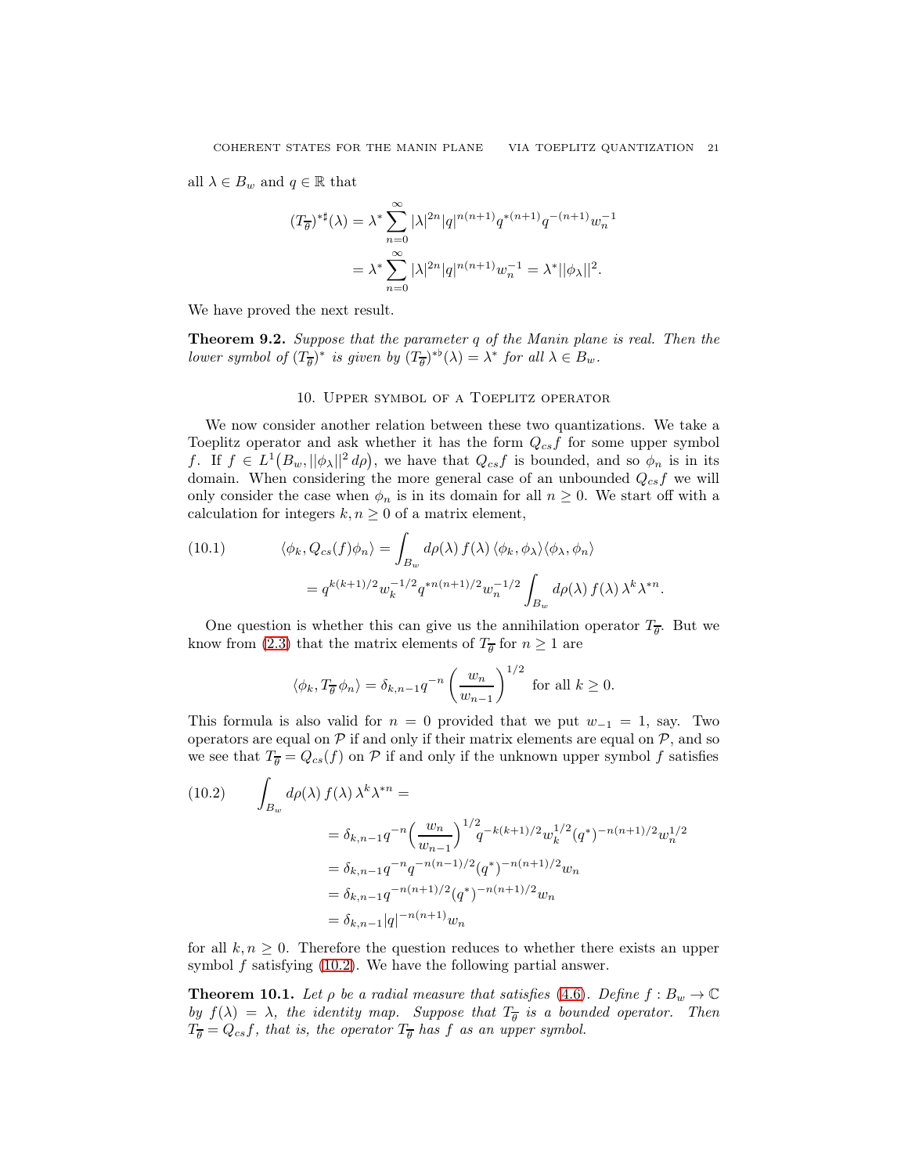all  $\lambda \in B_w$  and  $q \in \mathbb{R}$  that

$$
(T_{\overline{\theta}})^{* \sharp}(\lambda) = \lambda^* \sum_{n=0}^{\infty} |\lambda|^{2n} |q|^{n(n+1)} q^{*(n+1)} q^{-(n+1)} w_n^{-1}
$$
  
= 
$$
\lambda^* \sum_{n=0}^{\infty} |\lambda|^{2n} |q|^{n(n+1)} w_n^{-1} = \lambda^* ||\phi_{\lambda}||^2.
$$

We have proved the next result.

<span id="page-20-0"></span>Theorem 9.2. *Suppose that the parameter* q *of the Manin plane is real. Then the lower symbol of*  $(T_{\overline{\theta}})^*$  *is given by*  $(T_{\overline{\theta}})^{*b}(\lambda) = \lambda^*$  *for all*  $\lambda \in B_w$ *.* 

### 10. Upper symbol of a Toeplitz operator

We now consider another relation between these two quantizations. We take a Toeplitz operator and ask whether it has the form  $Q_{cs}f$  for some upper symbol f. If  $f \in L^1(B_w, ||\phi_\lambda||^2 d\rho)$ , we have that  $Q_{cs}f$  is bounded, and so  $\phi_n$  is in its domain. When considering the more general case of an unbounded  $Q_{cs}f$  we will only consider the case when  $\phi_n$  is in its domain for all  $n \geq 0$ . We start off with a calculation for integers  $k, n \geq 0$  of a matrix element,

(10.1) 
$$
\langle \phi_k, Q_{cs}(f)\phi_n \rangle = \int_{B_w} d\rho(\lambda) f(\lambda) \langle \phi_k, \phi_\lambda \rangle \langle \phi_\lambda, \phi_n \rangle
$$

$$
= q^{k(k+1)/2} w_k^{-1/2} q^{*n(n+1)/2} w_n^{-1/2} \int_{B_w} d\rho(\lambda) f(\lambda) \lambda^k \lambda^{*n}.
$$

One question is whether this can give us the annihilation operator  $T_{\overline{\theta}}$ . But we know from [\(2.3\)](#page-3-2) that the matrix elements of  $T_{\overline{\theta}}$  for  $n \ge 1$  are

$$
\langle \phi_k, T_{\overline{\theta}} \phi_n \rangle = \delta_{k,n-1} q^{-n} \left( \frac{w_n}{w_{n-1}} \right)^{1/2}
$$
 for all  $k \ge 0$ .

This formula is also valid for  $n = 0$  provided that we put  $w_{-1} = 1$ , say. Two operators are equal on  $P$  if and only if their matrix elements are equal on  $P$ , and so we see that  $T_{\overline{\theta}} = Q_{cs}(f)$  on P if and only if the unknown upper symbol f satisfies

<span id="page-20-1"></span>
$$
(10.2) \qquad \int_{B_w} d\rho(\lambda) f(\lambda) \lambda^k \lambda^{*n} =
$$
  

$$
= \delta_{k,n-1} q^{-n} \left( \frac{w_n}{w_{n-1}} \right)^{1/2} q^{-k(k+1)/2} w_k^{1/2} (q^*)^{-n(n+1)/2} w_n^{1/2}
$$
  

$$
= \delta_{k,n-1} q^{-n} q^{-n(n-1)/2} (q^*)^{-n(n+1)/2} w_n
$$
  

$$
= \delta_{k,n-1} q^{-n(n+1)/2} (q^*)^{-n(n+1)/2} w_n
$$
  

$$
= \delta_{k,n-1} |q|^{-n(n+1)} w_n
$$

for all  $k, n \geq 0$ . Therefore the question reduces to whether there exists an upper symbol  $f$  satisfying  $(10.2)$ . We have the following partial answer.

<span id="page-20-2"></span>**Theorem 10.1.** Let  $\rho$  be a radial measure that satisfies [\(4.6\)](#page-9-1). Define  $f : B_w \to \mathbb{C}$ by  $f(\lambda) = \lambda$ , the identity map. Suppose that  $T_{\overline{\theta}}$  is a bounded operator. Then  $T_{\overline{\theta}} = Q_{cs}f$ , that is, the operator  $T_{\overline{\theta}}$  has f as an upper symbol.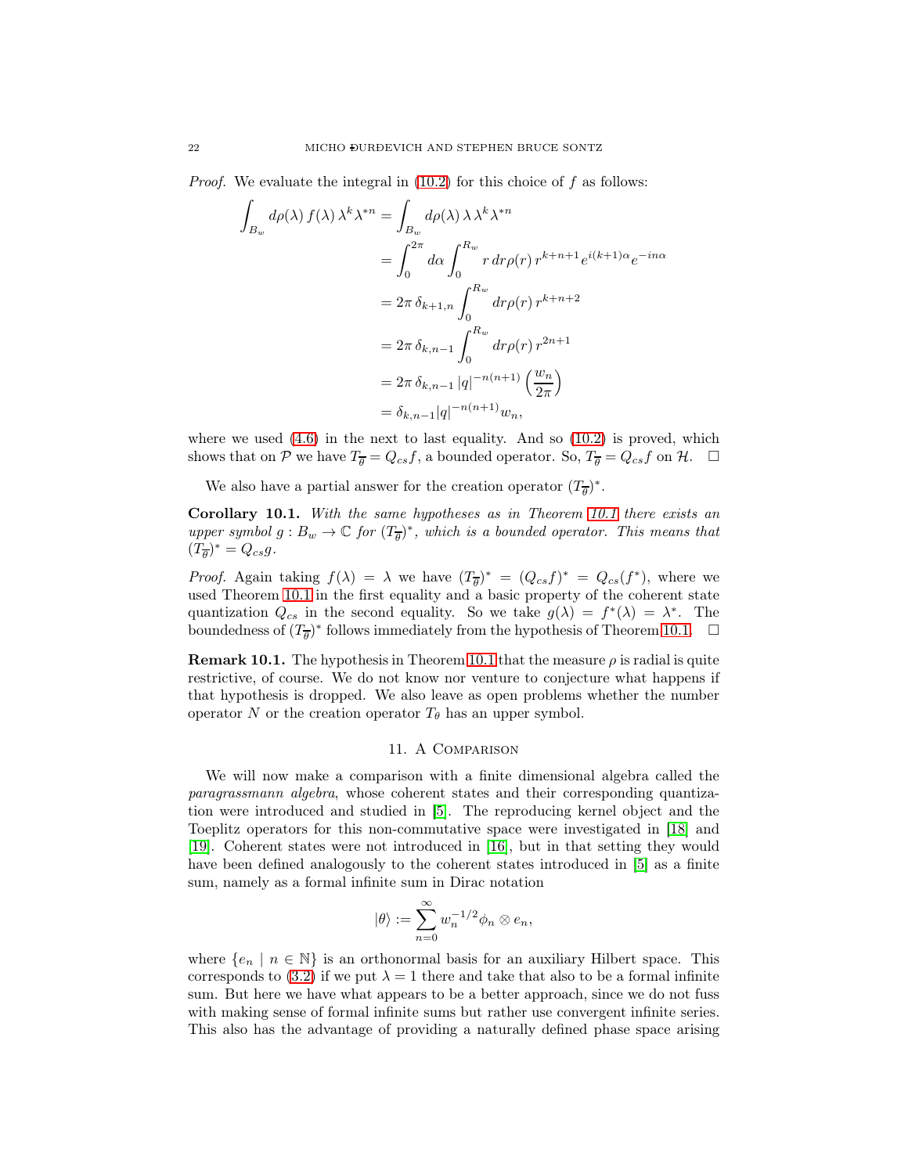*Proof.* We evaluate the integral in [\(10.2\)](#page-20-1) for this choice of f as follows:

$$
\int_{B_w} d\rho(\lambda) f(\lambda) \lambda^k \lambda^{*n} = \int_{B_w} d\rho(\lambda) \lambda \lambda^k \lambda^{*n}
$$
\n
$$
= \int_0^{2\pi} d\alpha \int_0^{R_w} r dr \rho(r) r^{k+n+1} e^{i(k+1)\alpha} e^{-in\alpha}
$$
\n
$$
= 2\pi \delta_{k+1,n} \int_0^{R_w} dr \rho(r) r^{k+n+2}
$$
\n
$$
= 2\pi \delta_{k,n-1} \int_0^{R_w} dr \rho(r) r^{2n+1}
$$
\n
$$
= 2\pi \delta_{k,n-1} |q|^{-n(n+1)} \left(\frac{w_n}{2\pi}\right)
$$
\n
$$
= \delta_{k,n-1} |q|^{-n(n+1)} w_n,
$$

where we used  $(4.6)$  in the next to last equality. And so  $(10.2)$  is proved, which shows that on P we have  $T_{\overline{\theta}} = Q_{cs}f$ , a bounded operator. So,  $T_{\overline{\theta}} = Q_{cs}f$  on H.  $\Box$ 

We also have a partial answer for the creation operator  $(T_{\overline{\theta}})^*$ .

Corollary 10.1. *With the same hypotheses as in Theorem [10.1](#page-20-2) there exists an upper symbol*  $g : B_w \to \mathbb{C}$  *for*  $(T_{\overline{\theta}})^*$ *, which is a bounded operator. This means that*  $(T_{\overline{\theta}})^* = Q_{cs}g.$ 

*Proof.* Again taking  $f(\lambda) = \lambda$  we have  $(T_{\overline{\theta}})^* = (Q_{cs}f)^* = Q_{cs}(f^*)$ , where we used Theorem [10.1](#page-20-2) in the first equality and a basic property of the coherent state quantization  $Q_{cs}$  in the second equality. So we take  $g(\lambda) = f^*(\lambda) = \lambda^*$ . The boundedness of  $(T_{\overline{\theta}})^*$  follows immediately from the hypothesis of Theorem [10.1.](#page-20-2)  $\Box$ 

**Remark [10.1](#page-20-2).** The hypothesis in Theorem 10.1 that the measure  $\rho$  is radial is quite restrictive, of course. We do not know nor venture to conjecture what happens if that hypothesis is dropped. We also leave as open problems whether the number operator N or the creation operator  $T_{\theta}$  has an upper symbol.

# 11. A Comparison

<span id="page-21-0"></span>We will now make a comparison with a finite dimensional algebra called the *paragrassmann algebra*, whose coherent states and their corresponding quantization were introduced and studied in [\[5\]](#page-23-18). The reproducing kernel object and the Toeplitz operators for this non-commutative space were investigated in [\[18\]](#page-23-19) and [\[19\]](#page-23-20). Coherent states were not introduced in [\[16\]](#page-23-2), but in that setting they would have been defined analogously to the coherent states introduced in [\[5\]](#page-23-18) as a finite sum, namely as a formal infinite sum in Dirac notation

$$
|\theta\rangle := \sum_{n=0}^{\infty} w_n^{-1/2} \phi_n \otimes e_n,
$$

where  $\{e_n \mid n \in \mathbb{N}\}\$ is an orthonormal basis for an auxiliary Hilbert space. This corresponds to [\(3.2\)](#page-5-0) if we put  $\lambda = 1$  there and take that also to be a formal infinite sum. But here we have what appears to be a better approach, since we do not fuss with making sense of formal infinite sums but rather use convergent infinite series. This also has the advantage of providing a naturally defined phase space arising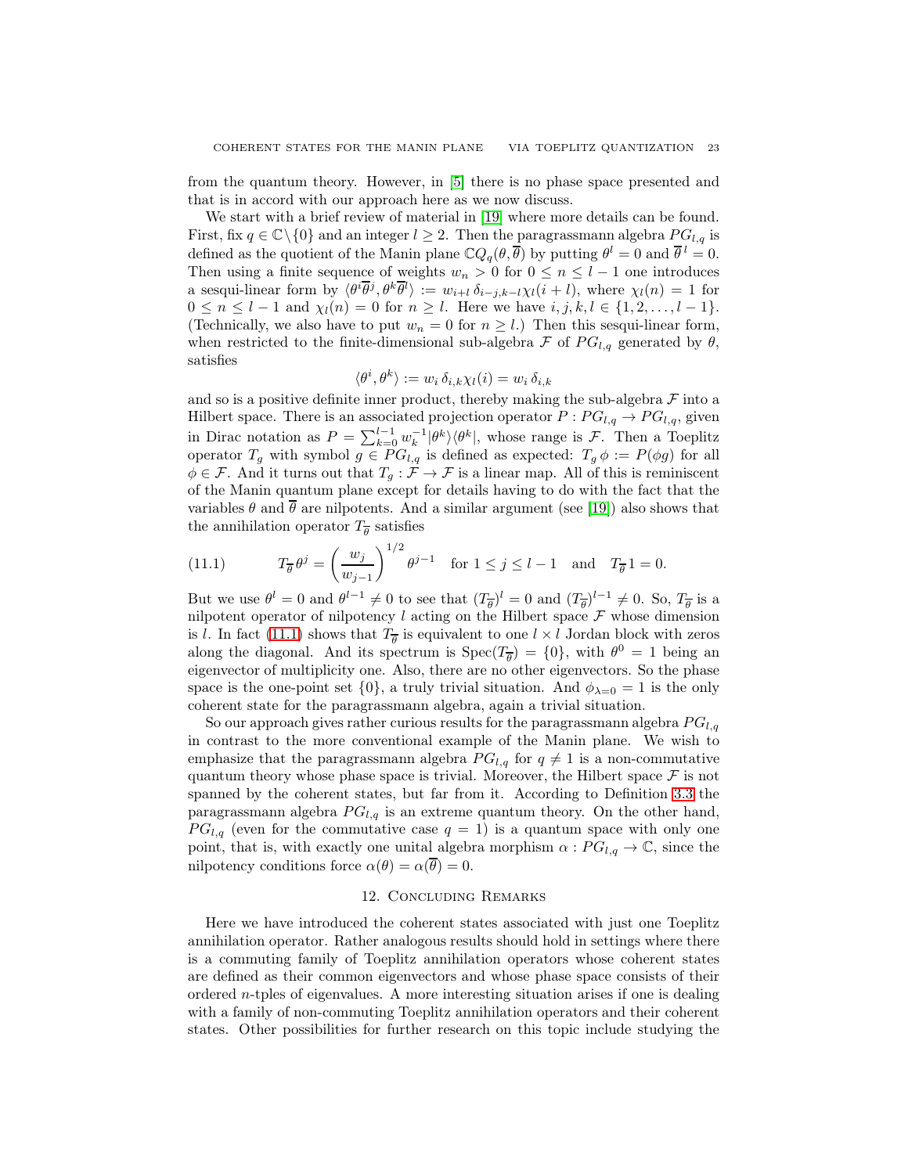from the quantum theory. However, in [\[5\]](#page-23-18) there is no phase space presented and that is in accord with our approach here as we now discuss.

We start with a brief review of material in [\[19\]](#page-23-20) where more details can be found. First, fix  $q \in \mathbb{C} \setminus \{0\}$  and an integer  $l \geq 2$ . Then the paragrassmann algebra  $PG_{l,q}$  is defined as the quotient of the Manin plane  $\mathbb{C}Q_q(\theta, \overline{\theta})$  by putting  $\theta^l = 0$  and  $\overline{\theta}^l = 0$ . Then using a finite sequence of weights  $w_n > 0$  for  $0 \leq n \leq l-1$  one introduces a sesqui-linear form by  $\langle \theta^i \overline{\theta}^j, \theta^k \overline{\theta}^l \rangle := w_{i+l} \, \delta_{i-j,k-l} \chi_l(i+l)$ , where  $\chi_l(n) = 1$  for  $0 \le n \le l - 1$  and  $\chi_l(n) = 0$  for  $n \ge l$ . Here we have  $i, j, k, l \in \{1, 2, ..., l - 1\}$ . (Technically, we also have to put  $w_n = 0$  for  $n \geq l$ .) Then this sesqui-linear form, when restricted to the finite-dimensional sub-algebra  $\mathcal F$  of  $PG_{l,q}$  generated by  $\theta$ , satisfies

$$
\langle \theta^i, \theta^k \rangle := w_i \, \delta_{i,k} \chi_l(i) = w_i \, \delta_{i,k}
$$

and so is a positive definite inner product, thereby making the sub-algebra  $\mathcal F$  into a Hilbert space. There is an associated projection operator  $P: PG_{l,q} \rightarrow PG_{l,q}$ , given in Dirac notation as  $P = \sum_{k=0}^{l-1} w_k^{-1} |\theta^k\rangle \langle \theta^k|$ , whose range is  $\mathcal{F}$ . Then a Toeplitz operator  $T_g$  with symbol  $g \in PG_{l,q}$  is defined as expected:  $T_g \phi := P(\phi g)$  for all  $\phi \in \mathcal{F}$ . And it turns out that  $T_g : \mathcal{F} \to \mathcal{F}$  is a linear map. All of this is reminiscent of the Manin quantum plane except for details having to do with the fact that the variables  $\theta$  and  $\theta$  are nilpotents. And a similar argument (see [\[19\]](#page-23-20)) also shows that the annihilation operator  $T_{\overline{\theta}}$  satisfies

<span id="page-22-1"></span>(11.1) 
$$
T_{\overline{\theta}} \theta^j = \left(\frac{w_j}{w_{j-1}}\right)^{1/2} \theta^{j-1} \text{ for } 1 \le j \le l-1 \text{ and } T_{\overline{\theta}} 1 = 0.
$$

But we use  $\theta^l = 0$  and  $\theta^{l-1} \neq 0$  to see that  $(T_{\overline{\theta}})^l = 0$  and  $(T_{\overline{\theta}})^{l-1} \neq 0$ . So,  $T_{\overline{\theta}}$  is a nilpotent operator of nilpotency  $l$  acting on the Hilbert space  $\mathcal F$  whose dimension is l. In fact [\(11.1\)](#page-22-1) shows that  $T_{\overline{\theta}}$  is equivalent to one  $l \times l$  Jordan block with zeros along the diagonal. And its spectrum is  $Spec(T_{\overline{\theta}}) = \{0\}$ , with  $\theta^0 = 1$  being an eigenvector of multiplicity one. Also, there are no other eigenvectors. So the phase space is the one-point set  $\{0\}$ , a truly trivial situation. And  $\phi_{\lambda=0}=1$  is the only coherent state for the paragrassmann algebra, again a trivial situation.

So our approach gives rather curious results for the paragrassmann algebra  $PG_{l,q}$ in contrast to the more conventional example of the Manin plane. We wish to emphasize that the paragrassmann algebra  $PG_{l,q}$  for  $q \neq 1$  is a non-commutative quantum theory whose phase space is trivial. Moreover, the Hilbert space  $\mathcal F$  is not spanned by the coherent states, but far from it. According to Definition [3.3](#page-7-4) the paragrassmann algebra  $PG_{l,q}$  is an extreme quantum theory. On the other hand,  $PG_{l,q}$  (even for the commutative case  $q = 1$ ) is a quantum space with only one point, that is, with exactly one unital algebra morphism  $\alpha$  :  $PG_{l,q} \to \mathbb{C}$ , since the nilpotency conditions force  $\alpha(\theta) = \alpha(\overline{\theta}) = 0$ .

## 12. Concluding Remarks

<span id="page-22-0"></span>Here we have introduced the coherent states associated with just one Toeplitz annihilation operator. Rather analogous results should hold in settings where there is a commuting family of Toeplitz annihilation operators whose coherent states are defined as their common eigenvectors and whose phase space consists of their ordered n-tples of eigenvalues. A more interesting situation arises if one is dealing with a family of non-commuting Toeplitz annihilation operators and their coherent states. Other possibilities for further research on this topic include studying the